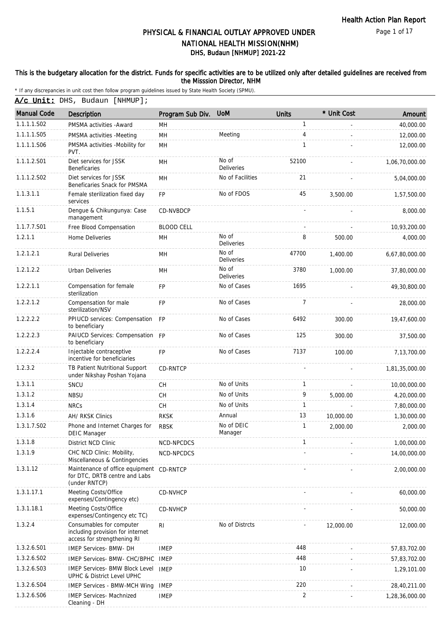Page 1 of 17

# DHS, Budaun [NHMUP] 2021-22 PHYSICAL & FINANCIAL OUTLAY APPROVED UNDER NATIONAL HEALTH MISSION(NHM)

#### This is the budgetary allocation for the district. Funds for specific activities are to be utilized only after detailed guidelines are received from the Misssion Director, NHM

|                    | A/c Unit: DHS, Budaun [NHMUP];                                                              |                   |                            |                          |             |                |  |  |  |
|--------------------|---------------------------------------------------------------------------------------------|-------------------|----------------------------|--------------------------|-------------|----------------|--|--|--|
| <b>Manual Code</b> | Description                                                                                 | Program Sub Div.  | <b>UoM</b>                 | <b>Units</b>             | * Unit Cost | Amount         |  |  |  |
| 1.1.1.1.S02        | PMSMA activities - Award                                                                    | MH                |                            | $\mathbf{1}$             |             | 40,000.00      |  |  |  |
| 1.1.1.1.S05        | PMSMA activities -Meeting                                                                   | MH                | Meeting                    | 4                        |             | 12,000.00      |  |  |  |
| 1.1.1.1.S06        | PMSMA activities -Mobility for<br>PVT.                                                      | MH                |                            | $\mathbf{1}$             |             | 12,000.00      |  |  |  |
| 1.1.1.2.S01        | Diet services for JSSK<br><b>Beneficaries</b>                                               | MH                | No of<br>Deliveries        | 52100                    |             | 1,06,70,000.00 |  |  |  |
| 1.1.1.2.S02        | Diet services for JSSK<br>Beneficaries Snack for PMSMA                                      | MН                | No of Facilities           | 21                       |             | 5,04,000.00    |  |  |  |
| 1.1.3.1.1          | Female sterilization fixed day<br>services                                                  | <b>FP</b>         | No of FDOS                 | 45                       | 3,500.00    | 1,57,500.00    |  |  |  |
| 1.1.5.1            | Dengue & Chikungunya: Case<br>management                                                    | CD-NVBDCP         |                            |                          |             | 8,000.00       |  |  |  |
| 1.1.7.7.S01        | Free Blood Compensation                                                                     | <b>BLOOD CELL</b> |                            | $\overline{\phantom{a}}$ |             | 10,93,200.00   |  |  |  |
| 1.2.1.1            | Home Deliveries                                                                             | MН                | No of<br>Deliveries        | 8                        | 500.00      | 4,000.00       |  |  |  |
| 1.2.1.2.1          | <b>Rural Deliveries</b>                                                                     | MН                | No of<br><b>Deliveries</b> | 47700                    | 1,400.00    | 6,67,80,000.00 |  |  |  |
| 1.2.1.2.2          | Urban Deliveries                                                                            | MН                | No of<br>Deliveries        | 3780                     | 1,000.00    | 37,80,000.00   |  |  |  |
| 1.2.2.1.1          | Compensation for female<br>sterilization                                                    | <b>FP</b>         | No of Cases                | 1695                     |             | 49.30.800.00   |  |  |  |
| 1.2.2.1.2          | Compensation for male<br>sterilization/NSV                                                  | <b>FP</b>         | No of Cases                | 7                        |             | 28,000.00      |  |  |  |
| 1.2.2.2.2          | PPIUCD services: Compensation<br>to beneficiary                                             | <b>FP</b>         | No of Cases                | 6492                     | 300.00      | 19,47,600.00   |  |  |  |
| 1.2.2.2.3          | PAIUCD Services: Compensation FP<br>to beneficiary                                          |                   | No of Cases                | 125                      | 300.00      | 37,500.00      |  |  |  |
| 1.2.2.2.4          | Injectable contraceptive<br>incentive for beneficiaries                                     | <b>FP</b>         | No of Cases                | 7137                     | 100.00      | 7,13,700.00    |  |  |  |
| 1.2.3.2            | TB Patient Nutritional Support<br>under Nikshay Poshan Yojana                               | CD-RNTCP          |                            |                          |             | 1,81,35,000.00 |  |  |  |
| 1.3.1.1            | SNCU                                                                                        | CH                | No of Units                | $\mathbf{1}$             |             | 10,00,000.00   |  |  |  |
| 1.3.1.2            | <b>NBSU</b>                                                                                 | <b>CH</b>         | No of Units                | 9                        | 5,000.00    | 4,20,000.00    |  |  |  |
| 1.3.1.4            | <b>NRCs</b>                                                                                 | CH                | No of Units                | $\mathbf{1}$             |             | 7,80,000.00    |  |  |  |
| 1.3.1.6            | AH/ RKSK Clinics                                                                            | <b>RKSK</b>       | Annual                     | 13                       | 10,000.00   | 1,30,000.00    |  |  |  |
| 1.3.1.7.S02        | Phone and Internet Charges for<br>DEIC Manager                                              | <b>RBSK</b>       | No of DEIC<br>Manager      | 1                        | 2.000.00    | 2,000.00       |  |  |  |
| 1.3.1.8            | District NCD Clinic                                                                         | NCD-NPCDCS        |                            | $\mathbf{1}$             |             | 1,00,000.00    |  |  |  |
| 1.3.1.9            | CHC NCD Clinic: Mobility,<br>Miscellaneous & Contingencies                                  | NCD-NPCDCS        |                            |                          |             | 14,00,000.00   |  |  |  |
| 1.3.1.12           | Maintenance of office equipment CD-RNTCP<br>for DTC, DRTB centre and Labs<br>(under RNTCP)  |                   |                            |                          |             | 2,00,000.00    |  |  |  |
| 1.3.1.17.1         | Meeting Costs/Office<br>expenses/Contingency etc)                                           | CD-NVHCP          |                            |                          |             | 60,000.00      |  |  |  |
| 1.3.1.18.1         | Meeting Costs/Office<br>expenses/Contingency etc TC)                                        | CD-NVHCP          |                            |                          |             | 50,000.00      |  |  |  |
| 1.3.2.4            | Consumables for computer<br>including provision for internet<br>access for strengthening RI | RI                | No of Distrcts             |                          | 12,000.00   | 12,000.00      |  |  |  |
| 1.3.2.6.S01        | IMEP Services- BMW- DH                                                                      | <b>IMEP</b>       |                            | 448                      |             | 57,83,702.00   |  |  |  |
| 1.3.2.6.S02        | IMEP Services- BMW- CHC/BPHC                                                                | <b>IMEP</b>       |                            | 448                      |             | 57,83,702.00   |  |  |  |
| 1.3.2.6.S03        | <b>IMEP Services- BMW Block Level</b><br>UPHC & District Level UPHC                         | <b>IMEP</b>       |                            | 10                       |             | 1,29,101.00    |  |  |  |
| 1.3.2.6.S04        | <b>IMEP Services - BMW-MCH Wing</b>                                                         | <b>IMEP</b>       |                            | 220                      |             | 28,40,211.00   |  |  |  |
| 1.3.2.6.S06        | <b>IMEP Services- Machnized</b><br>Cleaning - DH                                            | <b>IMEP</b>       |                            | $\overline{2}$           |             | 1,28,36,000.00 |  |  |  |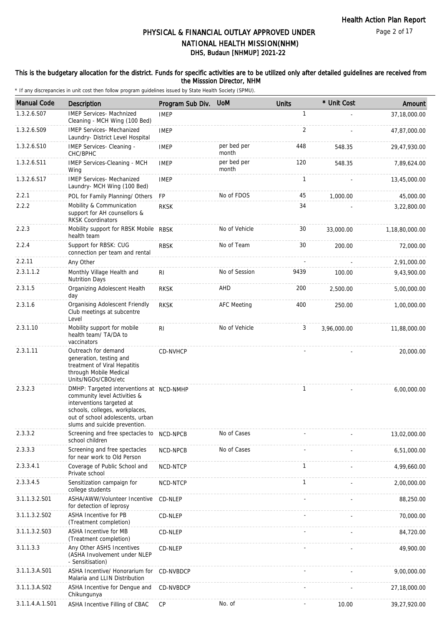#### This is the budgetary allocation for the district. Funds for specific activities are to be utilized only after detailed guidelines are received from the Misssion Director, NHM

| <b>Manual Code</b> | Description                                                                                                                                                                                                  | Program Sub Div. | <b>UoM</b>           | <b>Units</b> | * Unit Cost | Amount         |
|--------------------|--------------------------------------------------------------------------------------------------------------------------------------------------------------------------------------------------------------|------------------|----------------------|--------------|-------------|----------------|
| 1.3.2.6.S07        | <b>IMEP Services- Machnized</b><br>Cleaning - MCH Wing (100 Bed)                                                                                                                                             | <b>IMEP</b>      |                      | $\mathbf{1}$ |             | 37,18,000.00   |
| 1.3.2.6.S09        | <b>IMEP Services- Mechanized</b><br>Laundry- District Level Hospital                                                                                                                                         | <b>IMEP</b>      |                      | 2            |             | 47,87,000.00   |
| 1.3.2.6.S10        | IMEP Services- Cleaning -<br>CHC/BPHC                                                                                                                                                                        | <b>IMEP</b>      | per bed per<br>month | 448          | 548.35      | 29,47,930.00   |
| 1.3.2.6.S11        | IMEP Services-Cleaning - MCH<br>Wing                                                                                                                                                                         | <b>IMEP</b>      | per bed per<br>month | 120          | 548.35      | 7,89,624.00    |
| 1.3.2.6.S17        | <b>IMEP Services- Mechanized</b><br>Laundry- MCH Wing (100 Bed)                                                                                                                                              | <b>IMEP</b>      |                      | $\mathbf{1}$ |             | 13,45,000.00   |
| 2.2.1              | POL for Family Planning/ Others                                                                                                                                                                              | FP               | No of FDOS           | 45           | 1,000.00    | 45,000.00      |
| 2.2.2              | Mobility & Communication<br>support for AH counsellors &<br><b>RKSK Coordinators</b>                                                                                                                         | <b>RKSK</b>      |                      | 34           |             | 3,22,800.00    |
| 2.2.3              | Mobility support for RBSK Mobile RBSK<br>health team                                                                                                                                                         |                  | No of Vehicle        | 30           | 33,000.00   | 1,18,80,000.00 |
| 2.2.4              | Support for RBSK: CUG<br>connection per team and rental                                                                                                                                                      | <b>RBSK</b>      | No of Team           | 30           | 200.00      | 72,000.00      |
| 2.2.11             | Any Other                                                                                                                                                                                                    |                  |                      |              |             | 2,91,000.00    |
| 2.3.1.1.2          | Monthly Village Health and<br><b>Nutrition Days</b>                                                                                                                                                          | RI               | No of Session        | 9439         | 100.00      | 9,43,900.00    |
| 2.3.1.5            | Organizing Adolescent Health<br>day                                                                                                                                                                          | <b>RKSK</b>      | AHD                  | 200          | 2,500.00    | 5,00,000.00    |
| 2.3.1.6            | Organising Adolescent Friendly<br>Club meetings at subcentre<br>Level                                                                                                                                        | <b>RKSK</b>      | <b>AFC Meeting</b>   | 400          | 250.00      | 1,00,000.00    |
| 2.3.1.10           | Mobility support for mobile<br>health team/ TA/DA to<br>vaccinators                                                                                                                                          | RI.              | No of Vehicle        | 3            | 3,96,000.00 | 11,88,000.00   |
| 2.3.1.11           | Outreach for demand<br>generation, testing and<br>treatment of Viral Hepatitis<br>through Mobile Medical<br>Units/NGOs/CBOs/etc                                                                              | CD-NVHCP         |                      |              |             | 20,000.00      |
| 2.3.2.3            | DMHP: Targeted interventions at NCD-NMHP<br>community level Activities &<br>interventions targeted at<br>schools, colleges, workplaces,<br>out of school adolescents, urban<br>slums and suicide prevention. |                  |                      | $\mathbf{1}$ |             | 6,00,000.00    |
| 2.3.3.2            | Screening and free spectacles to<br>school children                                                                                                                                                          | NCD-NPCB         | No of Cases          |              |             | 13,02,000.00   |
| 2.3.3.3            | Screening and free spectacles<br>for near work to Old Person                                                                                                                                                 | NCD-NPCB         | No of Cases          |              |             | 6,51,000.00    |
| 2.3.3.4.1          | Coverage of Public School and<br>Private school                                                                                                                                                              | NCD-NTCP         |                      | $\mathbf{1}$ |             | 4,99,660.00    |
| 2.3.3.4.5          | Sensitization campaign for<br>college students                                                                                                                                                               | NCD-NTCP         |                      | $\mathbf{1}$ |             | 2,00,000.00    |
| 3.1.1.3.2.S01      | ASHA/AWW/Volunteer Incentive<br>for detection of leprosy                                                                                                                                                     | CD-NLEP          |                      |              |             | 88,250.00      |
| 3.1.1.3.2.S02      | ASHA Incentive for PB<br>(Treatment completion)                                                                                                                                                              | CD-NLEP          |                      |              |             | 70,000.00      |
| 3.1.1.3.2.S03      | ASHA Incentive for MB<br>(Treatment completion)                                                                                                                                                              | CD-NLEP          |                      |              |             | 84,720.00      |
| 3.1.1.3.3          | Any Other ASHS Incentives<br>(ASHA Involvement under NLEP<br>- Sensitisation)                                                                                                                                | CD-NLEP          |                      |              |             | 49,900.00      |
| 3.1.1.3.A.S01      | ASHA Incentive/ Honorarium for<br>Malaria and LLIN Distribution                                                                                                                                              | CD-NVBDCP        |                      |              |             | 9,00,000.00    |
| 3.1.1.3.A.S02      | ASHA Incentive for Dengue and<br>Chikungunya                                                                                                                                                                 | CD-NVBDCP        |                      |              |             | 27,18,000.00   |
| 3.1.1.4.A.1.S01    | ASHA Incentive Filling of CBAC                                                                                                                                                                               | <b>CP</b>        | No. of               |              | 10.00       | 39,27,920.00   |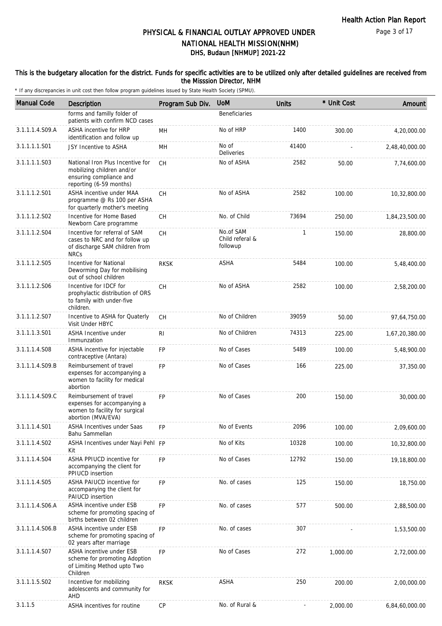#### This is the budgetary allocation for the district. Funds for specific activities are to be utilized only after detailed guidelines are received from the Misssion Director, NHM

| <b>Manual Code</b> | Description                                                                                                          | Program Sub Div. | <b>UoM</b>                               | <b>Units</b> | * Unit Cost | Amount         |
|--------------------|----------------------------------------------------------------------------------------------------------------------|------------------|------------------------------------------|--------------|-------------|----------------|
|                    | forms and familly folder of<br>patients with confirm NCD cases                                                       |                  | <b>Beneficiaries</b>                     |              |             |                |
| 3.1.1.1.4.S09.A    | ASHA incentive for HRP<br>identification and follow up                                                               | MН               | No of HRP                                | 1400         | 300.00      | 4,20,000.00    |
| 3.1.1.1.1.S01      | JSY Incentive to ASHA                                                                                                | MН               | No of<br>Deliveries                      | 41400        |             | 2,48,40,000.00 |
| 3.1.1.1.1.S03      | National Iron Plus Incentive for<br>mobilizing children and/or<br>ensuring compliance and<br>reporting (6-59 months) | CH               | No of ASHA                               | 2582         | 50.00       | 7,74,600.00    |
| 3.1.1.1.2.S01      | ASHA incentive under MAA<br>programme @ Rs 100 per ASHA<br>for quarterly mother's meeting                            | СH               | No of ASHA                               | 2582         | 100.00      | 10,32,800.00   |
| 3.1.1.1.2.S02      | Incentive for Home Based<br>Newborn Care programme                                                                   | <b>CH</b>        | No. of Child                             | 73694        | 250.00      | 1,84,23,500.00 |
| 3.1.1.1.2.S04      | Incentive for referral of SAM<br>cases to NRC and for follow up<br>of discharge SAM children from<br><b>NRCs</b>     | СH               | No.of SAM<br>Child referal &<br>followup | 1            | 150.00      | 28,800.00      |
| 3.1.1.1.2.S05      | Incentive for National<br>Deworming Day for mobilising<br>out of school children                                     | <b>RKSK</b>      | ASHA                                     | 5484         | 100.00      | 5,48,400.00    |
| 3.1.1.1.2.S06      | Incentive for IDCF for<br>prophylactic distribution of ORS<br>to family with under-five<br>children.                 | СH               | No of ASHA                               | 2582         | 100.00      | 2,58,200.00    |
| 3.1.1.1.2.S07      | Incentive to ASHA for Quaterly<br>Visit Under HBYC                                                                   | СH               | No of Children                           | 39059        | 50.00       | 97,64,750.00   |
| 3.1.1.1.3.S01      | ASHA Incentive under<br>Immunzation                                                                                  | RI               | No of Children                           | 74313        | 225.00      | 1,67,20,380.00 |
| 3.1.1.1.4.S08      | ASHA incentive for injectable<br>contraceptive (Antara)                                                              | <b>FP</b>        | No of Cases                              | 5489         | 100.00      | 5,48,900.00    |
| 3.1.1.1.4.S09.B    | Reimbursement of travel<br>expenses for accompanying a<br>women to facility for medical<br>abortion                  | <b>FP</b>        | No of Cases                              | 166          | 225.00      | 37,350.00      |
| 3.1.1.1.4.S09.C    | Reimbursement of travel<br>expenses for accompanying a<br>women to facility for surgical<br>abortion (MVA/EVA)       | <b>FP</b>        | No of Cases                              | 200          | 150.00      | 30,000.00      |
| 3.1.1.1.4.S01      | ASHA Incentives under Saas<br>Bahu Sammellan                                                                         | FP               | No of Events                             | 2096         | 100.00      | 2,09,600.00    |
| 3.1.1.1.4.S02      | ASHA Incentives under Nayi Pehl FP<br>Kit                                                                            |                  | No of Kits                               | 10328        | 100.00      | 10,32,800.00   |
| 3.1.1.1.4.S04      | ASHA PPIUCD incentive for<br>accompanying the client for<br>PPIUCD insertion                                         | <b>FP</b>        | No of Cases                              | 12792        | 150.00      | 19,18,800.00   |
| 3.1.1.1.4.S05      | <b>ASHA PAIUCD incentive for</b><br>accompanying the client for<br>PAIUCD insertion                                  | <b>FP</b>        | No. of cases                             | 125          | 150.00      | 18,750.00      |
| 3.1.1.1.4.S06.A    | ASHA incentive under ESB<br>scheme for promoting spacing of<br>births between 02 children                            | <b>FP</b>        | No. of cases                             | 577          | 500.00      | 2,88,500.00    |
| 3.1.1.1.4.S06.B    | ASHA incentive under ESB<br>scheme for promoting spacing of<br>02 years after marriage                               | FP               | No. of cases                             | 307          |             | 1,53,500.00    |
| 3.1.1.1.4.S07      | ASHA incentive under ESB<br>scheme for promoting Adoption<br>of Limiting Method upto Two<br>Children                 | <b>FP</b>        | No of Cases                              | 272          | 1,000.00    | 2,72,000.00    |
| 3.1.1.1.5.S02      | Incentive for mobilizing<br>adolescents and community for<br>AHD                                                     | <b>RKSK</b>      | ASHA                                     | 250          | 200.00      | 2,00,000.00    |
| 3.1.1.5            | ASHA incentives for routine                                                                                          | <b>CP</b>        | No. of Rural &                           |              | 2,000.00    | 6,84,60,000.00 |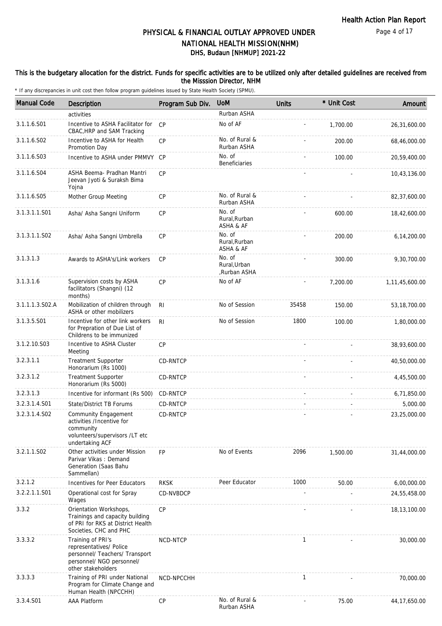#### This is the budgetary allocation for the district. Funds for specific activities are to be utilized only after detailed guidelines are received from the Misssion Director, NHM

| <b>Manual Code</b> | Description                                                                                                                       | Program Sub Div. | <b>UoM</b>                             | <b>Units</b> | * Unit Cost | Amount         |
|--------------------|-----------------------------------------------------------------------------------------------------------------------------------|------------------|----------------------------------------|--------------|-------------|----------------|
|                    | activities                                                                                                                        |                  | Rurban ASHA                            |              |             |                |
| 3.1.1.6.S01        | Incentive to ASHA Facilitator for<br>CBAC, HRP and SAM Tracking                                                                   | CP               | No of AF                               |              | 1,700.00    | 26,31,600.00   |
| 3.1.1.6.S02        | Incentive to ASHA for Health<br>Promotion Day                                                                                     | CP               | No. of Rural &<br>Rurban ASHA          |              | 200.00      | 68,46,000.00   |
| 3.1.1.6.S03        | Incentive to ASHA under PMMVY CP                                                                                                  |                  | No. of<br><b>Beneficiaries</b>         |              | 100.00      | 20,59,400.00   |
| 3.1.1.6.S04        | ASHA Beema- Pradhan Mantri<br>Jeevan Jyoti & Suraksh Bima<br>Yojna                                                                | <b>CP</b>        |                                        |              |             | 10,43,136.00   |
| 3.1.1.6.S05        | Mother Group Meeting                                                                                                              | СP               | No. of Rural &<br>Rurban ASHA          |              |             | 82,37,600.00   |
| 3.1.3.1.1.S01      | Asha/ Asha Sangni Uniform                                                                                                         | CP               | No. of<br>Rural, Rurban<br>ASHA & AF   |              | 600.00      | 18,42,600.00   |
| 3.1.3.1.1.S02      | Asha/ Asha Sangni Umbrella                                                                                                        | CP               | No. of<br>Rural, Rurban<br>ASHA & AF   |              | 200.00      | 6,14,200.00    |
| 3.1.3.1.3          | Awards to ASHA's/Link workers                                                                                                     | <b>CP</b>        | No. of<br>Rural, Urban<br>,Rurban ASHA |              | 300.00      | 9,30,700.00    |
| 3.1.3.1.6          | Supervision costs by ASHA<br>facilitators (Shangni) (12<br>months)                                                                | CP               | No of AF                               |              | 7,200.00    | 1,11,45,600.00 |
| 3.1.1.1.3.S02.A    | Mobilization of children through<br>ASHA or other mobilizers                                                                      | R <sub>l</sub>   | No of Session                          | 35458        | 150.00      | 53, 18, 700.00 |
| 3.1.3.5.S01        | Incentive for other link workers<br>for Prepration of Due List of<br>Childrens to be immunized                                    | R <sub>l</sub>   | No of Session                          | 1800         | 100.00      | 1,80,000.00    |
| 3.1.2.10.S03       | Incentive to ASHA Cluster<br>Meeting                                                                                              | CP               |                                        |              |             | 38,93,600.00   |
| 3.2.3.1.1          | Treatment Supporter<br>Honorarium (Rs 1000)                                                                                       | CD-RNTCP         |                                        |              |             | 40,50,000.00   |
| 3.2.3.1.2          | <b>Treatment Supporter</b><br>Honorarium (Rs 5000)                                                                                | CD-RNTCP         |                                        |              |             | 4,45,500.00    |
| 3.2.3.1.3          | Incentive for informant (Rs 500)                                                                                                  | CD-RNTCP         |                                        |              |             | 6,71,850.00    |
| 3.2.3.1.4.S01      | State/District TB Forums                                                                                                          | CD-RNTCP         |                                        |              |             | 5,000.00       |
| 3.2.3.1.4.S02      | Community Engagement<br>activities /Incentive for<br>community<br>volunteers/supervisors /LT etc<br>undertaking ACF               | CD-RNTCP         |                                        |              |             | 23,25,000.00   |
| 3.2.1.1.S02        | Other activities under Mission<br>Parivar Vikas: Demand<br>Generation (Saas Bahu<br>Sammellan)                                    | <b>FP</b>        | No of Events                           | 2096         | 1,500.00    | 31,44,000.00   |
| 3.2.1.2            | Incentives for Peer Educators                                                                                                     | <b>RKSK</b>      | Peer Educator                          | 1000         | 50.00       | 6,00,000.00    |
| 3.2.2.1.1.S01      | Operational cost for Spray<br>Wages                                                                                               | CD-NVBDCP        |                                        |              |             | 24,55,458.00   |
| 3.3.2              | Orientation Workshops,<br>Trainings and capacity building<br>of PRI for RKS at District Health<br>Societies, CHC and PHC          | CP               |                                        |              |             | 18,13,100.00   |
| 3.3.3.2            | Training of PRI's<br>representatives/ Police<br>personnel/ Teachers/ Transport<br>personnel/ NGO personnel/<br>other stakeholders | NCD-NTCP         |                                        | 1            |             | 30,000.00      |
| 3.3.3.3            | Training of PRI under National<br>Program for Climate Change and<br>Human Health (NPCCHH)                                         | NCD-NPCCHH       |                                        | $\mathbf{1}$ |             | 70,000.00      |
| 3.3.4.S01          | <b>AAA Platform</b>                                                                                                               | <b>CP</b>        | No. of Rural &<br>Rurban ASHA          |              | 75.00       | 44, 17, 650.00 |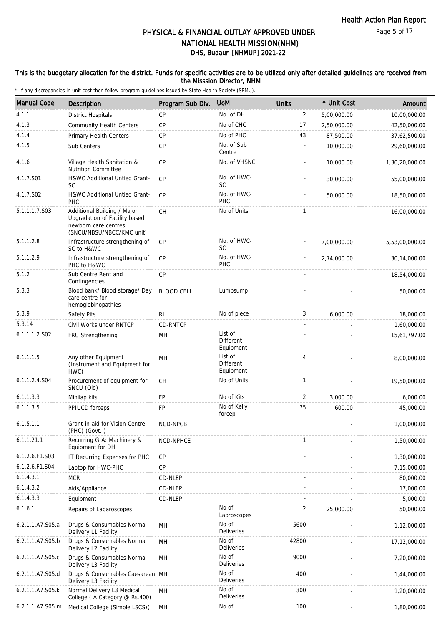#### This is the budgetary allocation for the district. Funds for specific activities are to be utilized only after detailed guidelines are received from the Misssion Director, NHM

| <b>Manual Code</b> | Description                                                                                                       | Program Sub Div.  | <b>UoM</b>                               | <b>Units</b>   | * Unit Cost | Amount         |
|--------------------|-------------------------------------------------------------------------------------------------------------------|-------------------|------------------------------------------|----------------|-------------|----------------|
| 4.1.1              | <b>District Hospitals</b>                                                                                         | <b>CP</b>         | No. of DH                                | $\overline{2}$ | 5,00,000.00 | 10,00,000.00   |
| 4.1.3              | <b>Community Health Centers</b>                                                                                   | <b>CP</b>         | No of CHC                                | 17             | 2,50,000.00 | 42,50,000.00   |
| 4.1.4              | <b>Primary Health Centers</b>                                                                                     | <b>CP</b>         | No of PHC                                | 43             | 87.500.00   | 37,62,500.00   |
| 4.1.5              | Sub Centers                                                                                                       | CP                | No. of Sub<br>Centre                     |                | 10,000.00   | 29,60,000.00   |
| 4.1.6              | Village Health Sanitation &<br><b>Nutrition Committee</b>                                                         | <b>CP</b>         | No. of VHSNC                             |                | 10,000.00   | 1,30,20,000.00 |
| 4.1.7.S01          | H&WC Additional Untied Grant-<br>SC                                                                               | <b>CP</b>         | No. of HWC-<br><b>SC</b>                 |                | 30,000.00   | 55,00,000.00   |
| 4.1.7.S02          | H&WC Additional Untied Grant-<br><b>PHC</b>                                                                       | <b>CP</b>         | No. of HWC-<br>PHC                       |                | 50,000.00   | 18,50,000.00   |
| 5.1.1.1.7.S03      | Additional Building / Major<br>Upgradation of Facility based<br>newborn care centres<br>(SNCU/NBSU/NBCC/KMC unit) | <b>CH</b>         | No of Units                              | $\mathbf{1}$   |             | 16,00,000.00   |
| 5.1.1.2.8          | Infrastructure strengthening of<br>SC to H&WC                                                                     | <b>CP</b>         | No. of HWC-<br><b>SC</b>                 |                | 7,00,000.00 | 5,53,00,000.00 |
| 5.1.1.2.9          | Infrastructure strengthening of<br>PHC to H&WC                                                                    | CP                | No. of HWC-<br><b>PHC</b>                |                | 2,74,000.00 | 30,14,000.00   |
| 5.1.2              | Sub Centre Rent and<br>Contingencies                                                                              | CP                |                                          |                |             | 18,54,000.00   |
| 5.3.3              | Blood bank/ Blood storage/ Day<br>care centre for<br>hemoglobinopathies                                           | <b>BLOOD CELL</b> | Lumpsump                                 |                |             | 50,000.00      |
| 5.3.9              | Safety Pits                                                                                                       | RI                | No of piece                              | 3              | 6,000.00    | 18,000.00      |
| 5.3.14             | Civil Works under RNTCP                                                                                           | CD-RNTCP          |                                          |                |             | 1,60,000.00    |
| 6.1.1.1.2.S02      | FRU Strengthening                                                                                                 | MH                | List of<br><b>Different</b><br>Equipment |                |             | 15,61,797.00   |
| 6.1.1.1.5          | Any other Equipment<br>(Instrument and Equipment for<br>HWC)                                                      | MH                | List of<br><b>Different</b><br>Equipment | 4              |             | 8,00,000.00    |
| 6.1.1.2.4.S04      | Procurement of equipment for<br>SNCU (Old)                                                                        | <b>CH</b>         | No of Units                              | $\mathbf{1}$   |             | 19,50,000.00   |
| 6.1.1.3.3          | Minilap kits                                                                                                      | FP                | No of Kits                               | 2              | 3,000.00    | 6,000.00       |
| 6.1.1.3.5          | PPIUCD forceps                                                                                                    | FP                | No of Kelly<br>forcep                    | 75             | 600.00      | 45,000.00      |
| 6.1.5.1.1          | Grant-in-aid for Vision Centre<br>(PHC) (Govt.)                                                                   | NCD-NPCB          |                                          |                |             | 1,00,000.00    |
| 6.1.1.21.1         | Recurring GIA: Machinery &<br>Equipment for DH                                                                    | NCD-NPHCE         |                                          | $\mathbf{1}$   |             | 1,50,000.00    |
| 6.1.2.6.F1.S03     | IT Recurring Expenses for PHC                                                                                     | <b>CP</b>         |                                          |                |             | 1,30,000.00    |
| 6.1.2.6.F1.S04     | Laptop for HWC-PHC                                                                                                | <b>CP</b>         |                                          |                |             | 7,15,000.00    |
| 6.1.4.3.1          | <b>MCR</b>                                                                                                        | CD-NLEP           |                                          |                |             | 80,000.00      |
| 6.1.4.3.2          | Aids/Appliance                                                                                                    | CD-NLEP           |                                          |                |             | 17,000.00      |
| 6.1.4.3.3          | Equipment                                                                                                         | CD-NLEP           |                                          |                |             | 5,000.00       |
| 6.1.6.1            | Repairs of Laparoscopes                                                                                           |                   | No of<br>Laproscopes                     | 2              | 25,000.00   | 50,000.00      |
| 6.2.1.1.A7.S05.a   | Drugs & Consumables Normal<br>Delivery L1 Facility                                                                | MH                | No of<br>Deliveries                      | 5600           |             | 1,12,000.00    |
| 6.2.1.1.A7.S05.b   | Drugs & Consumables Normal<br>Delivery L2 Facility                                                                | MH                | No of<br>Deliveries                      | 42800          |             | 17,12,000.00   |
| 6.2.1.1.A7.S05.c   | Drugs & Consumables Normal<br>Delivery L3 Facility                                                                | MH                | No of<br><b>Deliveries</b>               | 9000           |             | 7,20,000.00    |
| 6.2.1.1.A7.S05.d   | Drugs & Consumables Caesarean MH<br>Delivery L3 Facility                                                          |                   | No of<br>Deliveries                      | 400            |             | 1,44,000.00    |
| 6.2.1.1.A7.S05.k   | Normal Delivery L3 Medical<br>College (A Category @ Rs.400)                                                       | MH                | No of<br><b>Deliveries</b>               | 300            |             | 1,20,000.00    |
| 6.2.1.1.A7.S05.m   | Medical College (Simple LSCS)(                                                                                    | MH                | No of                                    | 100            |             | 1,80,000.00    |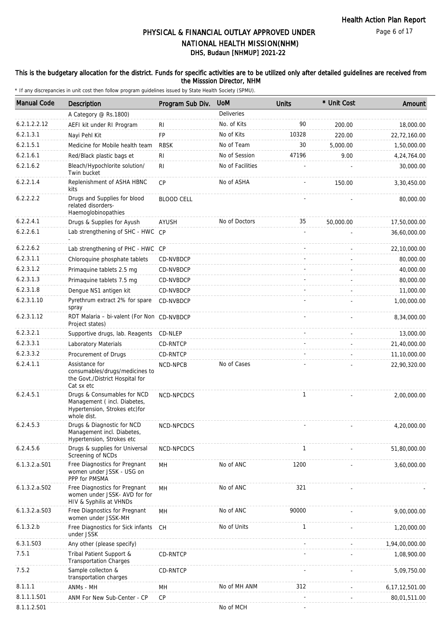### This is the budgetary allocation for the district. Funds for specific activities are to be utilized only after detailed guidelines are received from the Misssion Director, NHM

| <b>Manual Code</b> | <b>Description</b>                                                                                         | Program Sub Div.  | <b>UoM</b>        | <b>Units</b> | * Unit Cost | Amount            |
|--------------------|------------------------------------------------------------------------------------------------------------|-------------------|-------------------|--------------|-------------|-------------------|
|                    | A Category @ Rs.1800)                                                                                      |                   | <b>Deliveries</b> |              |             |                   |
| 6.2.1.2.2.12       | AEFI kit under RI Program                                                                                  | RI                | No. of Kits       | 90           | 200.00      | 18,000.00         |
| 6.2.1.3.1          | Nayi Pehl Kit                                                                                              | <b>FP</b>         | No of Kits        | 10328        | 220.00      | 22,72,160.00      |
| 6.2.1.5.1          | Medicine for Mobile health team                                                                            | <b>RBSK</b>       | No of Team        | 30           | 5,000.00    | 1,50,000.00       |
| 6.2.1.6.1          | Red/Black plastic bags et                                                                                  | RI                | No of Session     | 47196        | 9.00        | 4,24,764.00       |
| 6.2.1.6.2          | Bleach/Hypochlorite solution/<br>Twin bucket                                                               | R <sub>1</sub>    | No of Facilities  |              |             | 30,000.00         |
| 6.2.2.1.4          | Replenishment of ASHA HBNC<br>kits                                                                         | <b>CP</b>         | No of ASHA        |              | 150.00      | 3,30,450.00       |
| 6.2.2.2.2          | Drugs and Supplies for blood<br>related disorders-<br>Haemoglobinopathies                                  | <b>BLOOD CELL</b> |                   |              |             | 80,000.00         |
| 6.2.2.4.1          | Drugs & Supplies for Ayush                                                                                 | <b>AYUSH</b>      | No of Doctors     | 35           | 50,000.00   | 17,50,000.00      |
| 6.2.2.6.1          | Lab strengthening of SHC - HWC                                                                             | CP                |                   |              |             | 36,60,000.00      |
| 6.2.2.6.2          | Lab strengthening of PHC - HWC CP                                                                          |                   |                   |              |             | 22,10,000.00      |
| 6.2.3.1.1          | Chloroquine phosphate tablets                                                                              | CD-NVBDCP         |                   |              |             | 80,000.00         |
| 6.2.3.1.2          | Primaguine tablets 2.5 mg                                                                                  | CD-NVBDCP         |                   |              |             | 40,000.00         |
| 6.2.3.1.3          | Primaquine tablets 7.5 mg                                                                                  | CD-NVBDCP         |                   |              |             | 80,000.00         |
| 6.2.3.1.8          | Dengue NS1 antigen kit                                                                                     | CD-NVBDCP         |                   |              |             | 11,000.00         |
| 6.2.3.1.10         | Pyrethrum extract 2% for spare<br>spray                                                                    | CD-NVBDCP         |                   |              |             | 1,00,000.00       |
| 6.2.3.1.12         | RDT Malaria - bi-valent (For Non CD-NVBDCP<br>Project states)                                              |                   |                   |              |             | 8,34,000.00       |
| 6.2.3.2.1          | Supportive drugs, lab. Reagents CD-NLEP                                                                    |                   |                   |              |             | 13,000.00         |
| 6.2.3.3.1          | Laboratory Materials                                                                                       | CD-RNTCP          |                   |              |             | 21,40,000.00      |
| 6.2.3.3.2          | Procurement of Drugs                                                                                       | CD-RNTCP          |                   |              |             | 11,10,000.00      |
| 6.2.4.1.1          | Assistance for<br>consumables/drugs/medicines to<br>the Govt./District Hospital for<br>Cat sx etc          | NCD-NPCB          | No of Cases       |              |             | 22,90,320.00      |
| 6.2.4.5.1          | Drugs & Consumables for NCD<br>Management (incl. Diabetes,<br>Hypertension, Strokes etc)for<br>whole dist. | NCD-NPCDCS        |                   | $\mathbf{1}$ |             | 2,00,000.00       |
| 6.2.4.5.3          | Drugs & Diagnostic for NCD<br>Management incl. Diabetes,<br>Hypertension, Strokes etc                      | NCD-NPCDCS        |                   |              |             | 4,20,000.00       |
| 6.2.4.5.6          | Drugs & supplies for Universal<br>Screening of NCDs                                                        | NCD-NPCDCS        |                   | $\mathbf{1}$ |             | 51,80,000.00      |
| 6.1.3.2.a.S01      | Free Diagnostics for Pregnant<br>women under JSSK - USG on<br>PPP for PMSMA                                | MН                | No of ANC         | 1200         |             | 3,60,000.00       |
| 6.1.3.2.a.S02      | Free Diagnostics for Pregnant<br>women under JSSK- AVD for for<br>HIV & Syphilis at VHNDs                  | MН                | No of ANC         | 321          |             |                   |
| $6.1.3.2.a.$ SO3   | Free Diagnostics for Pregnant<br>women under JSSK-MH                                                       | MH                | No of ANC         | 90000        |             | 9,00,000.00       |
| 6.1.3.2.b          | Free Diagnostics for Sick infants<br>under JSSK                                                            | <b>CH</b>         | No of Units       | 1            |             | 1,20,000.00       |
| 6.3.1.S03          | Any other (please specify)                                                                                 |                   |                   |              |             | 1,94,00,000.00    |
| 7.5.1              | Tribal Patient Support &<br><b>Transportation Charges</b>                                                  | CD-RNTCP          |                   |              |             | 1,08,900.00       |
| 7.5.2              | Sample collecton &<br>transportation charges                                                               | CD-RNTCP          |                   |              |             | 5,09,750.00       |
| 8.1.1.1            | ANMs - MH                                                                                                  | MH                | No of MH ANM      | 312          |             | 6, 17, 12, 501.00 |
| 8.1.1.1.S01        | ANM For New Sub-Center - CP                                                                                | СP                |                   |              |             | 80,01,511.00      |
| 8.1.1.2.S01        |                                                                                                            |                   | No of MCH         |              |             |                   |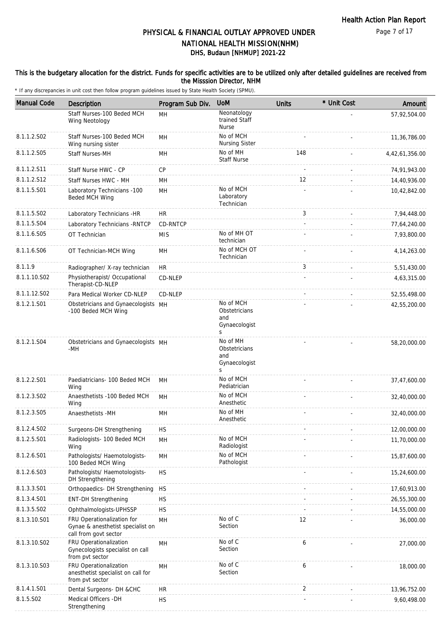#### This is the budgetary allocation for the district. Funds for specific activities are to be utilized only after detailed guidelines are received from the Misssion Director, NHM

| <b>Manual Code</b> | Description                                                                              | Program Sub Div. | <b>UoM</b>                                              | <b>Units</b> | * Unit Cost | Amount         |
|--------------------|------------------------------------------------------------------------------------------|------------------|---------------------------------------------------------|--------------|-------------|----------------|
|                    | Staff Nurses-100 Beded MCH<br>Wing Neotology                                             | MH               | Neonatology<br>trained Staff<br><b>Nurse</b>            |              |             | 57,92,504.00   |
| 8.1.1.2.S02        | Staff Nurses-100 Beded MCH<br>Wing nursing sister                                        | MH               | No of MCH<br>Nursing Sister                             |              |             | 11,36,786.00   |
| 8.1.1.2.S05        | Staff Nurses-MH                                                                          | MН               | No of MH<br><b>Staff Nurse</b>                          | 148          |             | 4,42,61,356.00 |
| 8.1.1.2.S11        | Staff Nurse HWC - CP                                                                     | CP               |                                                         |              |             | 74,91,943.00   |
| 8.1.1.2.S12        | Staff Nurses HWC - MH                                                                    | MH               |                                                         | 12           |             | 14,40,936.00   |
| 8.1.1.5.S01        | Laboratory Technicians -100<br>Beded MCH Wing                                            | MH               | No of MCH<br>Laboratory<br>Technician                   |              |             | 10,42,842.00   |
| 8.1.1.5.S02        | Laboratory Technicians -HR                                                               | <b>HR</b>        |                                                         | 3            |             | 7,94,448.00    |
| 8.1.1.5.S04        | Laboratory Technicians - RNTCP                                                           | CD-RNTCP         |                                                         |              |             | 77,64,240.00   |
| 8.1.1.6.S05        | OT Technician                                                                            | <b>MIS</b>       | No of MH OT<br>technician                               |              |             | 7,93,800.00    |
| 8.1.1.6.S06        | OT Technician-MCH Wing                                                                   | MН               | No of MCH OT<br>Technician                              |              |             | 4, 14, 263.00  |
| 8.1.1.9            | Radiographer/ X-ray technician                                                           | HR               |                                                         | 3            |             | 5,51,430.00    |
| 8.1.1.10.S02       | Physiotherapist/ Occupational<br>Therapist-CD-NLEP                                       | CD-NLEP          |                                                         |              |             | 4,63,315.00    |
| 8.1.1.12.S02       | Para Medical Worker CD-NLEP                                                              | CD-NLEP          |                                                         |              |             | 52,55,498.00   |
| 8.1.2.1.S01        | Obstetricians and Gynaecologists MH<br>-100 Beded MCH Wing                               |                  | No of MCH<br>Obstetricians<br>and<br>Gynaecologist<br>S |              |             | 42,55,200.00   |
| 8.1.2.1.S04        | Obstetricians and Gynaecologists MH<br>-MH                                               |                  | No of MH<br>Obstetricians<br>and<br>Gynaecologist<br>S  |              |             | 58,20,000.00   |
| 8.1.2.2.S01        | Paediatricians- 100 Beded MCH<br>Wing                                                    | MH               | No of MCH<br>Pediatrician                               |              |             | 37,47,600.00   |
| 8.1.2.3.S02        | Anaesthetists -100 Beded MCH<br>Wing                                                     | MH               | No of MCH<br>Anesthetic                                 |              |             | 32,40,000.00   |
| 8.1.2.3.S05        | Anaesthetists -MH                                                                        | MН               | No of MH<br>Anesthetic                                  |              |             | 32,40,000.00   |
| 8.1.2.4.S02        | Surgeons-DH Strengthening                                                                | HS               |                                                         |              |             | 12,00,000.00   |
| 8.1.2.5.S01        | Radiologists- 100 Beded MCH<br>Wing                                                      | MH               | No of MCH<br>Radiologist                                |              |             | 11,70,000.00   |
| 8.1.2.6.S01        | Pathologists/ Haemotologists-<br>100 Beded MCH Wing                                      | MH               | No of MCH<br>Pathologist                                |              |             | 15,87,600.00   |
| 8.1.2.6.S03        | Pathologists/ Haemotologists-<br>DH Strengthening                                        | <b>HS</b>        |                                                         |              |             | 15,24,600.00   |
| 8.1.3.3.S01        | Orthopaedics- DH Strengthening                                                           | HS               |                                                         |              |             | 17,60,913.00   |
| 8.1.3.4.S01        | <b>ENT-DH Strengthening</b>                                                              | <b>HS</b>        |                                                         |              |             | 26,55,300.00   |
| 8.1.3.5.SO2        | Ophthalmologists-UPHSSP                                                                  | <b>HS</b>        |                                                         |              |             | 14,55,000.00   |
| 8.1.3.10.S01       | FRU Operationalization for<br>Gynae & anesthetist specialist on<br>call from govt sector | MH               | No of C<br>Section                                      | 12           |             | 36,000.00      |
| 8.1.3.10.S02       | FRU Operationalization<br>Gynecologists specialist on call<br>from pvt sector            | MH               | No of C<br>Section                                      | 6            |             | 27,000.00      |
| 8.1.3.10.S03       | FRU Operationalization<br>anesthetist specialist on call for<br>from pvt sector          | MН               | No of C<br>Section                                      | 6            |             | 18,000.00      |
| 8.1.4.1.S01        | Dental Surgeons- DH &CHC                                                                 | <b>HR</b>        |                                                         | 2            |             | 13,96,752.00   |
| 8.1.5.S02          | Medical Officers - DH<br>Strengthening                                                   | <b>HS</b>        |                                                         |              |             | 9,60,498.00    |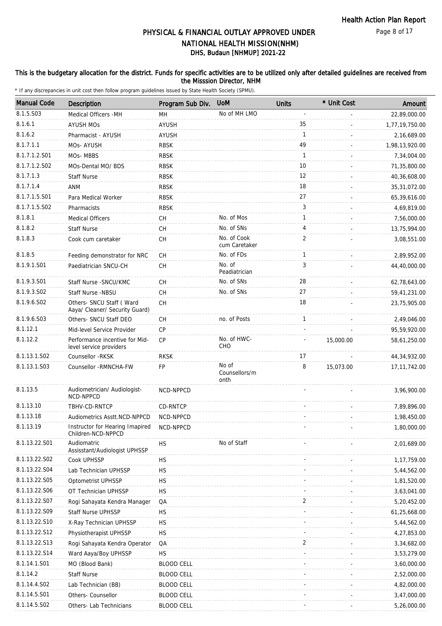#### Page 8 of 17

## DHS, Budaun [NHMUP] 2021-22 PHYSICAL & FINANCIAL OUTLAY APPROVED UNDER NATIONAL HEALTH MISSION(NHM)

### This is the budgetary allocation for the district. Funds for specific activities are to be utilized only after detailed guidelines are received from the Misssion Director, NHM

| <b>Manual Code</b> | <b>Description</b>                                          | Program Sub Div.  | <b>UoM</b>                     | <b>Units</b>   | * Unit Cost | Amount         |
|--------------------|-------------------------------------------------------------|-------------------|--------------------------------|----------------|-------------|----------------|
| 8.1.5.S03          | Medical Officers - MH                                       | MH                | No of MH LMO                   |                |             | 22,89,000.00   |
| 8.1.6.1            | <b>AYUSH MOs</b>                                            | AYUSH             |                                | 35             |             | 1,77,19,750.00 |
| 8.1.6.2            | Pharmacist - AYUSH                                          | <b>AYUSH</b>      |                                | $\mathbf{1}$   |             | 2,16,689.00    |
| 8.1.7.1.1          | MOs- AYUSH                                                  | RBSK              |                                | 49             |             | 1,98,13,920.00 |
| 8.1.7.1.2.S01      | MOs-MBBS                                                    | <b>RBSK</b>       |                                | 1              |             | 7,34,004.00    |
| 8.1.7.1.2.S02      | MOs-Dental MO/ BDS                                          | <b>RBSK</b>       |                                | 10             |             | 71,35,800.00   |
| 8.1.7.1.3          | <b>Staff Nurse</b>                                          | <b>RBSK</b>       |                                | 12             |             | 40,36,608.00   |
| 8.1.7.1.4          | ANM                                                         | <b>RBSK</b>       |                                | 18             |             | 35,31,072.00   |
| 8.1.7.1.5.S01      | Para Medical Worker                                         | <b>RBSK</b>       |                                | 27             |             | 65,39,616.00   |
| 8.1.7.1.5.S02      | Pharmacists                                                 | <b>RBSK</b>       |                                | 3              |             | 4,69,819.00    |
| 8.1.8.1            | <b>Medical Officers</b>                                     | CН                | No. of Mos                     | $\mathbf{1}$   |             | 7,56,000.00    |
| 8.1.8.2            | <b>Staff Nurse</b>                                          | CH                | No. of SNs                     | 4              |             | 13,75,994.00   |
| 8.1.8.3            | Cook cum caretaker                                          | CH                | No. of Cook                    | $\overline{2}$ |             | 3,08,551.00    |
|                    |                                                             |                   | cum Caretaker                  |                |             |                |
| 8.1.8.5            | Feeding demonstrator for NRC                                | CH                | No. of FDs                     | $\mathbf{1}$   |             | 2,89,952.00    |
| 8.1.9.1.S01        | Paediatrician SNCU-CH                                       | CH                | No. of<br>Peadiatrician        | 3              |             | 44,40,000.00   |
| 8.1.9.3.S01        | Staff Nurse - SNCU/KMC                                      | CH                | No. of SNs                     | 28             |             | 62,78,643.00   |
| 8.1.9.3.SO2        | <b>Staff Nurse -NBSU</b>                                    | CH                | No. of SNs                     | 27             |             | 59,41,231.00   |
| 8.1.9.6.S02        | Others- SNCU Staff ( Ward<br>Aaya/ Cleaner/ Security Guard) | CH                |                                | 18             |             | 23,75,905.00   |
| 8.1.9.6.S03        | Others- SNCU Staff DEO                                      | CH                | no. of Posts                   | $\mathbf{1}$   |             | 2,49,046.00    |
| 8.1.12.1           | Mid-level Service Provider                                  | СP                |                                |                |             | 95,59,920.00   |
| 8.1.12.2           | Performance incentive for Mid-<br>level service providers   | <b>CP</b>         | No. of HWC-<br>CHO             |                | 15,000.00   | 58,61,250.00   |
| 8.1.13.1.S02       | Counsellor -RKSK                                            | <b>RKSK</b>       |                                | 17             |             | 44, 34, 932.00 |
| 8.1.13.1.S03       | Counsellor -RMNCHA-FW                                       | FP                | No of<br>Counsellors/m<br>onth | 8              | 15,073.00   | 17, 11, 742.00 |
| 8.1.13.5           | Audiometrician/ Audiologist-<br>NCD-NPPCD                   | NCD-NPPCD         |                                |                |             | 3,96,900.00    |
| 8.1.13.10          | TBHV-CD-RNTCP                                               | CD-RNTCP          |                                |                |             | 7,89,896.00    |
| 8.1.13.18          | Audiometrics Asstt.NCD-NPPCD                                | NCD-NPPCD         |                                |                |             | 1,98,450.00    |
| 8.1.13.19          | Instructor for Hearing Imapired<br>Children-NCD-NPPCD       | NCD-NPPCD         |                                |                |             | 1,80,000.00    |
| 8.1.13.22.S01      | Audiomatric<br>Assisstant/Audiologist UPHSSP                | <b>HS</b>         | No of Staff                    |                |             | 2,01,689.00    |
| 8.1.13.22.S02      | Cook UPHSSP                                                 | <b>HS</b>         |                                |                |             | 1,17,759.00    |
| 8.1.13.22.S04      | Lab Technician UPHSSP                                       | <b>HS</b>         |                                |                |             | 5,44,562.00    |
| 8.1.13.22.S05      | Optometrist UPHSSP                                          | <b>HS</b>         |                                |                |             | 1,81,520.00    |
| 8.1.13.22.S06      | OT Technician UPHSSP                                        | <b>HS</b>         |                                |                |             | 3,63,041.00    |
| 8.1.13.22.S07      | Rogi Sahayata Kendra Manager                                | QA                |                                | 2              |             | 5,20,452.00    |
| 8.1.13.22.S09      | Staff Nurse UPHSSP                                          | <b>HS</b>         |                                |                |             | 61,25,668.00   |
| 8.1.13.22.S10      | X-Ray Technician UPHSSP                                     | <b>HS</b>         |                                |                |             | 5,44,562.00    |
| 8.1.13.22.S12      | Physiotherapist UPHSSP                                      | <b>HS</b>         |                                |                |             | 4,27,853.00    |
| 8.1.13.22.S13      | Rogi Sahayata Kendra Operator                               | QA                |                                | 2              |             | 3,34,682.00    |
| 8.1.13.22.S14      | Ward Aaya/Boy UPHSSP                                        | <b>HS</b>         |                                |                |             | 3,53,279.00    |
| 8.1.14.1.S01       | MO (Blood Bank)                                             | <b>BLOOD CELL</b> |                                |                |             | 3,60,000.00    |
| 8.1.14.2           | <b>Staff Nurse</b>                                          | <b>BLOOD CELL</b> |                                |                |             | 2,52,000.00    |
| 8.1.14.4.S02       | Lab Technician (BB)                                         | <b>BLOOD CELL</b> |                                |                |             | 4,82,000.00    |
| 8.1.14.5.S01       | Others- Counsellor                                          | <b>BLOOD CELL</b> |                                |                |             | 3,47,000.00    |
| 8.1.14.5.S02       | Others- Lab Technicians                                     | <b>BLOOD CELL</b> |                                |                |             | 5,26,000.00    |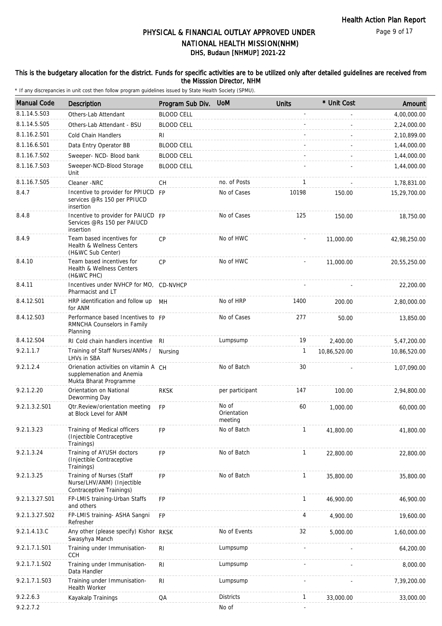#### This is the budgetary allocation for the district. Funds for specific activities are to be utilized only after detailed guidelines are received from the Misssion Director, NHM

| <b>Manual Code</b> | <b>Description</b>                                                                           | Program Sub Div.  | <b>UoM</b>                      | <b>Units</b> | * Unit Cost  | Amount       |
|--------------------|----------------------------------------------------------------------------------------------|-------------------|---------------------------------|--------------|--------------|--------------|
| 8.1.14.5.S03       | Others-Lab Attendant                                                                         | <b>BLOOD CELL</b> |                                 |              |              | 4,00,000.00  |
| 8.1.14.5.S05       | Others-Lab Attendant - BSU                                                                   | <b>BLOOD CELL</b> |                                 |              |              | 2,24,000.00  |
| 8.1.16.2.S01       | Cold Chain Handlers                                                                          | RI.               |                                 |              |              | 2,10,899.00  |
| 8.1.16.6.S01       | Data Entry Operator BB                                                                       | <b>BLOOD CELL</b> |                                 |              |              | 1,44,000.00  |
| 8.1.16.7.S02       | Sweeper- NCD- Blood bank                                                                     | <b>BLOOD CELL</b> |                                 |              |              | 1,44,000.00  |
| 8.1.16.7.S03       | Sweeper-NCD-Blood Storage<br>Unit                                                            | <b>BLOOD CELL</b> |                                 |              |              | 1,44,000.00  |
| 8.1.16.7.S05       | Cleaner -NRC                                                                                 | СH                | no. of Posts                    | 1            |              | 1,78,831.00  |
| 8.4.7              | Incentive to provider for PPIUCD FP<br>services @Rs 150 per PPIUCD<br>insertion              |                   | No of Cases                     | 10198        | 150.00       | 15,29,700.00 |
| 8.4.8              | Incentive to provider for PAIUCD FP<br>Services @Rs 150 per PAIUCD<br>insertion              |                   | No of Cases                     | 125          | 150.00       | 18,750.00    |
| 8.4.9              | Team based incentives for<br>Health & Wellness Centers<br>(H&WC Sub Center)                  | CP                | No of HWC                       |              | 11,000.00    | 42,98,250.00 |
| 8.4.10             | Team based incentives for<br>Health & Wellness Centers<br>(H&WC PHC)                         | CP                | No of HWC                       |              | 11,000.00    | 20,55,250.00 |
| 8.4.11             | Incentives under NVHCP for MO, CD-NVHCP<br>Pharmacist and LT                                 |                   |                                 |              |              | 22,200.00    |
| 8.4.12.S01         | HRP identification and follow up MH<br>for ANM                                               |                   | No of HRP                       | 1400         | 200.00       | 2,80,000.00  |
| 8.4.12.S03         | Performance based Incentives to FP<br>RMNCHA Counselors in Family<br>Planning                |                   | No of Cases                     | 277          | 50.00        | 13,850.00    |
| 8.4.12.S04         | RI Cold chain handlers incentive RI                                                          |                   | Lumpsump                        | 19           | 2,400.00     | 5,47,200.00  |
| 9.2.1.1.7          | Training of Staff Nurses/ANMs /<br>LHVs in SBA                                               | Nursing           |                                 | 1            | 10,86,520.00 | 10,86,520.00 |
| 9.2.1.2.4          | Orienation activities on vitamin A CH<br>supplemenation and Anemia<br>Mukta Bharat Programme |                   | No of Batch                     | 30           |              | 1,07,090.00  |
| 9.2.1.2.20         | Orientation on National<br>Deworming Day                                                     | <b>RKSK</b>       | per participant                 | 147          | 100.00       | 2,94,800.00  |
| 9.2.1.3.2.S01      | Otr.Review/orientation meeting<br>at Block Level for ANM                                     | <b>FP</b>         | No of<br>Orientation<br>meeting | 60           | 1,000.00     | 60,000.00    |
| 9.2.1.3.23         | Training of Medical officers<br>(Injectible Contraceptive<br>Trainings)                      | FP                | No of Batch                     | $\mathbf{1}$ | 41,800.00    | 41,800.00    |
| 9.2.1.3.24         | Training of AYUSH doctors<br>(Injectible Contraceptive<br>Trainings)                         | <b>FP</b>         | No of Batch                     | $\mathbf{1}$ | 22,800.00    | 22,800.00    |
| 9.2.1.3.25         | Training of Nurses (Staff<br>Nurse/LHV/ANM) (Injectible<br>Contraceptive Trainings)          | <b>FP</b>         | No of Batch                     | 1            | 35,800.00    | 35,800.00    |
| 9.2.1.3.27.S01     | FP-LMIS training-Urban Staffs<br>and others                                                  | FP                |                                 | $\mathbf{1}$ | 46,900.00    | 46,900.00    |
| 9.2.1.3.27.S02     | FP-LMIS training- ASHA Sangni<br>Refresher                                                   | <b>FP</b>         |                                 | 4            | 4,900.00     | 19,600.00    |
| 9.2.1.4.13.C       | Any other (please specify) Kishor RKSK<br>Swasyhya Manch                                     |                   | No of Events                    | 32           | 5,000.00     | 1,60,000.00  |
| 9.2.1.7.1.S01      | Training under Immunisation-<br><b>CCH</b>                                                   | RI                | Lumpsump                        |              |              | 64,200.00    |
| 9.2.1.7.1.S02      | Training under Immunisation-<br>Data Handler                                                 | $\mathsf{RI}$     | Lumpsump                        |              |              | 8,000.00     |
| 9.2.1.7.1.S03      | Training under Immunisation-<br>Health Worker                                                | R <sub>1</sub>    | Lumpsump                        |              |              | 7,39,200.00  |
| 9.2.2.6.3          | Kayakalp Trainings                                                                           | QA                | <b>Districts</b>                | $\mathbf{1}$ | 33,000.00    | 33,000.00    |
| 9.2.2.7.2          |                                                                                              |                   | No of                           |              |              |              |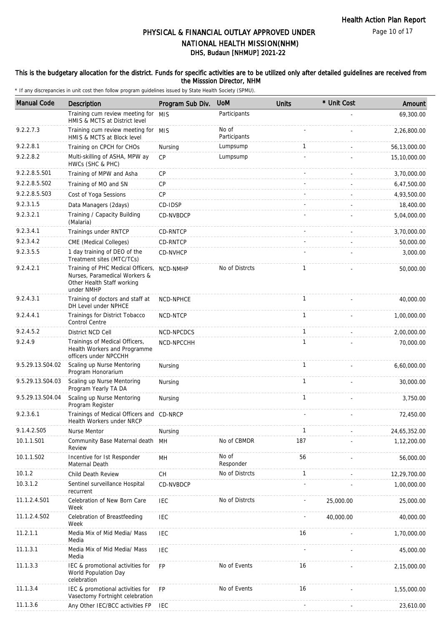### This is the budgetary allocation for the district. Funds for specific activities are to be utilized only after detailed guidelines are received from the Misssion Director, NHM

| <b>Manual Code</b> | <b>Description</b>                                                                                             | Program Sub Div. | <b>UoM</b>         | <b>Units</b> | * Unit Cost | Amount       |
|--------------------|----------------------------------------------------------------------------------------------------------------|------------------|--------------------|--------------|-------------|--------------|
|                    | Training cum review meeting for                                                                                | <b>MIS</b>       | Participants       |              |             | 69,300.00    |
| 9.2.2.7.3          | HMIS & MCTS at District level<br>Training cum review meeting for MIS                                           |                  | No of              |              |             | 2,26,800.00  |
|                    | HMIS & MCTS at Block level                                                                                     |                  | Participants       |              |             |              |
| 9.2.2.8.1          | Training on CPCH for CHOs                                                                                      | Nursing          | Lumpsump           | $\mathbf{1}$ |             | 56,13,000.00 |
| 9.2.2.8.2          | Multi-skilling of ASHA, MPW ay<br>HWCs (SHC & PHC)                                                             | <b>CP</b>        | Lumpsump           |              |             | 15,10,000.00 |
| 9.2.2.8.5.S01      | Training of MPW and Asha                                                                                       | CP               |                    |              |             | 3,70,000.00  |
| 9.2.2.8.5.S02      | Training of MO and SN                                                                                          | <b>CP</b>        |                    |              |             | 6,47,500.00  |
| 9.2.2.8.5.S03      | Cost of Yoga Sessions                                                                                          | <b>CP</b>        |                    |              |             | 4,93,500.00  |
| 9.2.3.1.5          | Data Managers (2days)                                                                                          | CD-IDSP          |                    |              |             | 18,400.00    |
| 9.2.3.2.1          | Training / Capacity Building<br>(Malaria)                                                                      | CD-NVBDCP        |                    |              |             | 5,04,000.00  |
| 9.2.3.4.1          | Trainings under RNTCP                                                                                          | CD-RNTCP         |                    |              |             | 3,70,000.00  |
| 9.2.3.4.2          | CME (Medical Colleges)                                                                                         | CD-RNTCP         |                    |              |             | 50,000.00    |
| 9.2.3.5.5          | 1 day training of DEO of the<br>Treatment sites (MTC/TCs)                                                      | CD-NVHCP         |                    |              |             | 3,000.00     |
| 9.2.4.2.1          | Training of PHC Medical Officers,<br>Nurses, Paramedical Workers &<br>Other Health Staff working<br>under NMHP | NCD-NMHP         | No of Distrcts     | $\mathbf{1}$ |             | 50,000.00    |
| 9.2.4.3.1          | Training of doctors and staff at<br>DH Level under NPHCE                                                       | <b>NCD-NPHCE</b> |                    | $\mathbf{1}$ |             | 40,000.00    |
| 9.2.4.4.1          | Trainings for District Tobacco<br>Control Centre                                                               | NCD-NTCP         |                    | $\mathbf{1}$ |             | 1,00,000.00  |
| 9.2.4.5.2          | District NCD Cell                                                                                              | NCD-NPCDCS       |                    | $\mathbf{1}$ |             | 2,00,000.00  |
| 9.2.4.9            | Trainings of Medical Officers,<br>Health Workers and Programme<br>officers under NPCCHH                        | NCD-NPCCHH       |                    | $\mathbf{1}$ |             | 70,000.00    |
| 9.5.29.13.S04.02   | Scaling up Nurse Mentoring<br>Program Honorarium                                                               | Nursing          |                    | $\mathbf{1}$ |             | 6,60,000.00  |
| 9.5.29.13.S04.03   | Scaling up Nurse Mentoring<br>Program Yearly TA DA                                                             | Nursing          |                    | $\mathbf{1}$ |             | 30,000.00    |
| 9.5.29.13.S04.04   | Scaling up Nurse Mentoring<br>Program Register                                                                 | Nursing          |                    | $\mathbf{1}$ |             | 3,750.00     |
| 9.2.3.6.1          | Trainings of Medical Officers and<br>Health Workers under NRCP                                                 | CD-NRCP          |                    |              |             | 72,450.00    |
| 9.1.4.2.S05        | Nurse Mentor                                                                                                   | Nursing          |                    | $\mathbf{1}$ |             | 24,65,352.00 |
| 10.1.1.S01         | Community Base Maternal death<br>Review                                                                        | MH               | No of CBMDR        | 187          |             | 1,12,200.00  |
| 10.1.1.S02         | Incentive for Ist Responder<br>Maternal Death                                                                  | MH               | No of<br>Responder | 56           |             | 56,000.00    |
| 10.1.2             | Child Death Review                                                                                             | <b>CH</b>        | No of Distrcts     | $\mathbf{1}$ |             | 12,29,700.00 |
| 10.3.1.2           | Sentinel surveillance Hospital<br>recurrent                                                                    | CD-NVBDCP        |                    |              |             | 1,00,000.00  |
| 11.1.2.4.S01       | Celebration of New Born Care<br>Week                                                                           | <b>IEC</b>       | No of Distrcts     |              | 25,000.00   | 25,000.00    |
| 11.1.2.4.S02       | Celebration of Breastfeeding<br>Week                                                                           | <b>IEC</b>       |                    |              | 40,000.00   | 40,000.00    |
| 11.2.1.1           | Media Mix of Mid Media/ Mass<br>Media                                                                          | IEC              |                    | 16           |             | 1,70,000.00  |
| 11.1.3.1           | Media Mix of Mid Media/ Mass<br>Media                                                                          | IEC              |                    |              |             | 45,000.00    |
| 11.1.3.3           | IEC & promotional activities for<br>World Population Day<br>celebration                                        | <b>FP</b>        | No of Events       | 16           |             | 2,15,000.00  |
| 11.1.3.4           | IEC & promotional activities for<br>Vasectomy Fortnight celebration                                            | FP               | No of Events       | 16           |             | 1,55,000.00  |
| 11.1.3.6           | Any Other IEC/BCC activities FP                                                                                | IEC              |                    |              |             | 23,610.00    |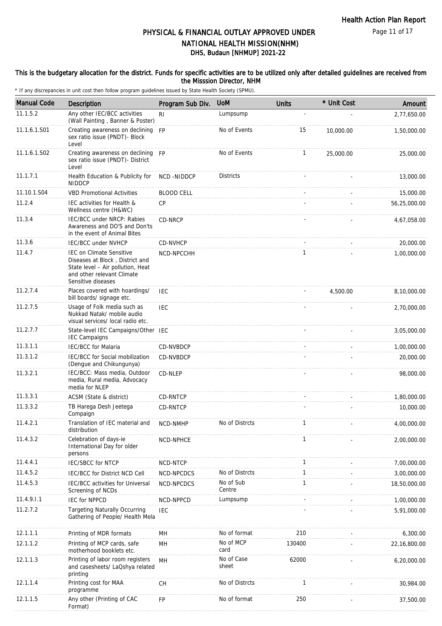#### This is the budgetary allocation for the district. Funds for specific activities are to be utilized only after detailed guidelines are received from the Misssion Director, NHM

| <b>Manual Code</b> | Description                                                                                                                                          | Program Sub Div.  | <b>UoM</b>          | <b>Units</b> | * Unit Cost | Amount       |
|--------------------|------------------------------------------------------------------------------------------------------------------------------------------------------|-------------------|---------------------|--------------|-------------|--------------|
| 11.1.5.2           | Any other IEC/BCC activities<br>(Wall Painting, Banner & Poster)                                                                                     | R <sub>l</sub>    | Lumpsump            | L.           |             | 2,77,650.00  |
| 11.1.6.1.S01       | Creating awareness on declining<br>sex ratio issue (PNDT)- Block<br>Level                                                                            | <b>FP</b>         | No of Events        | 15           | 10,000.00   | 1,50,000.00  |
| 11.1.6.1.S02       | Creating awareness on declining FP<br>sex ratio issue (PNDT)- District<br>Level                                                                      |                   | No of Events        | 1            | 25,000.00   | 25,000.00    |
| 11.1.7.1           | Health Education & Publicity for<br><b>NIDDCP</b>                                                                                                    | NCD-NIDDCP        | <b>Districts</b>    |              |             | 13,000.00    |
| 11.10.1.S04        | <b>VBD Promotional Activities</b>                                                                                                                    | <b>BLOOD CELL</b> |                     |              |             | 15,000.00    |
| 11.2.4             | IEC activities for Health &<br>Wellness centre (H&WC)                                                                                                | <b>CP</b>         |                     |              |             | 56,25,000.00 |
| 11.3.4             | IEC/BCC under NRCP: Rabies<br>Awareness and DO'S and Don'ts<br>in the event of Animal Bites                                                          | CD-NRCP           |                     |              |             | 4,67,058.00  |
| 11.3.6             | <b>IEC/BCC under NVHCP</b>                                                                                                                           | CD-NVHCP          |                     |              |             | 20,000.00    |
| 11.4.7             | IEC on Climate Sensitive<br>Diseases at Block, District and<br>State level - Air pollution, Heat<br>and other relevant Climate<br>Sensitive diseases | NCD-NPCCHH        |                     | 1            |             | 1,00,000.00  |
| 11.2.7.4           | Places covered with hoardings/<br>bill boards/ signage etc.                                                                                          | IEC               |                     |              | 4,500.00    | 8,10,000.00  |
| 11.2.7.5           | Usage of Folk media such as<br>Nukkad Natak/ mobile audio<br>visual services/ local radio etc.                                                       | <b>IEC</b>        |                     |              |             | 2,70,000.00  |
| 11.2.7.7           | State-level IEC Campaigns/Other IEC<br><b>IEC Campaigns</b>                                                                                          |                   |                     |              |             | 3,05,000.00  |
| 11.3.1.1           | IEC/BCC for Malaria                                                                                                                                  | CD-NVBDCP         |                     |              |             | 1,00,000.00  |
| 11.3.1.2           | IEC/BCC for Social mobilization<br>(Dengue and Chikungunya)                                                                                          | CD-NVBDCP         |                     |              |             | 20,000.00    |
| 11.3.2.1           | IEC/BCC: Mass media, Outdoor<br>media, Rural media, Advocacy<br>media for NLEP                                                                       | CD-NLEP           |                     |              |             | 98,000.00    |
| 11.3.3.1           | ACSM (State & district)                                                                                                                              | CD-RNTCP          |                     |              |             | 1,80,000.00  |
| 11.3.3.2           | TB Harega Desh Jeetega<br>Compaign                                                                                                                   | CD-RNTCP          |                     |              |             | 10,000.00    |
| 11.4.2.1           | Translation of IEC material and<br>distribution                                                                                                      | <b>NCD-NMHP</b>   | No of Distrcts      | $\mathbf{1}$ |             | 4,00,000.00  |
| 11.4.3.2           | Celebration of days-ie<br>International Day for older<br>persons                                                                                     | NCD-NPHCE         |                     | 1            |             | 2,00,000.00  |
| 11.4.4.1           | <b>IEC/SBCC for NTCP</b>                                                                                                                             | NCD-NTCP          |                     | 1            |             | 7,00,000.00  |
| 11.4.5.2           | IEC/BCC for District NCD Cell                                                                                                                        | NCD-NPCDCS        | No of Distrcts      | 1            |             | 3,00,000.00  |
| 11.4.5.3           | <b>IEC/BCC</b> activities for Universal<br>Screening of NCDs                                                                                         | NCD-NPCDCS        | No of Sub<br>Centre | 1            |             | 18,50,000.00 |
| 11.4.9.1.1         | <b>IEC for NPPCD</b>                                                                                                                                 | NCD-NPPCD         | Lumpsump            |              |             | 1,00,000.00  |
| 11.2.7.2           | <b>Targeting Naturally Occurring</b><br>Gathering of People/ Health Mela                                                                             | <b>IEC</b>        |                     |              |             | 5,91,000.00  |
| 12.1.1.1           | Printing of MDR formats                                                                                                                              | MH                | No of format        | 210          |             | 6,300.00     |
| 12.1.1.2           | Printing of MCP cards, safe<br>motherhood booklets etc.                                                                                              | MH                | No of MCP<br>card   | 130400       |             | 22,16,800.00 |
| 12.1.1.3           | Printing of labor room registers<br>and casesheets/ LaQshya related<br>printing                                                                      | MH                | No of Case<br>sheet | 62000        |             | 6,20,000.00  |
| 12.1.1.4           | Printing cost for MAA<br>programme                                                                                                                   | CH                | No of Distrcts      | 1            |             | 30,984.00    |
| 12.1.1.5           | Any other (Printing of CAC<br>Format)                                                                                                                | FP                | No of format        | 250          |             | 37,500.00    |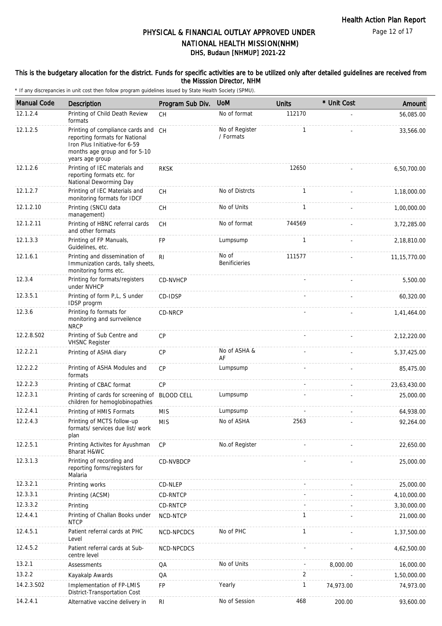#### This is the budgetary allocation for the district. Funds for specific activities are to be utilized only after detailed guidelines are received from the Misssion Director, NHM

| <b>Manual Code</b> | <b>Description</b>                                                                                                                                         | Program Sub Div.  | <b>UoM</b>                    | <b>Units</b> | * Unit Cost | Amount         |
|--------------------|------------------------------------------------------------------------------------------------------------------------------------------------------------|-------------------|-------------------------------|--------------|-------------|----------------|
| 12.1.2.4           | Printing of Child Death Review<br>formats                                                                                                                  | <b>CH</b>         | No of format                  | 112170       |             | 56,085.00      |
| 12.1.2.5           | Printing of compliance cards and CH<br>reporting formats for National<br>Iron Plus Initiative-for 6-59<br>months age group and for 5-10<br>years age group |                   | No of Register<br>/ Formats   | $\mathbf{1}$ |             | 33,566.00      |
| 12.1.2.6           | Printing of IEC materials and<br>reporting formats etc. for<br>National Deworming Day                                                                      | <b>RKSK</b>       |                               | 12650        |             | 6,50,700.00    |
| 12.1.2.7           | Printing of IEC Materials and<br>monitoring formats for IDCF                                                                                               | <b>CH</b>         | No of Distrcts                | $\mathbf{1}$ |             | 1,18,000.00    |
| 12.1.2.10          | Printing (SNCU data<br>management)                                                                                                                         | <b>CH</b>         | No of Units                   | $\mathbf{1}$ |             | 1,00,000.00    |
| 12.1.2.11          | Printing of HBNC referral cards<br>and other formats                                                                                                       | <b>CH</b>         | No of format                  | 744569       |             | 3,72,285.00    |
| 12.1.3.3           | Printing of FP Manuals,<br>Guidelines, etc.                                                                                                                | FP                | Lumpsump                      | $\mathbf{1}$ |             | 2,18,810.00    |
| 12.1.6.1           | Printing and dissemination of<br>Immunization cards, tally sheets,<br>monitoring forms etc.                                                                | R <sub>l</sub>    | No of<br><b>Benificieries</b> | 111577       |             | 11, 15, 770.00 |
| 12.3.4             | Printing for formats/registers<br>under NVHCP                                                                                                              | CD-NVHCP          |                               |              |             | 5,500.00       |
| 12.3.5.1           | Printing of form P,L, S under<br>IDSP progrm                                                                                                               | CD-IDSP           |                               |              |             | 60,320.00      |
| 12.3.6             | Printing fo formats for<br>monitoring and surrveilence<br><b>NRCP</b>                                                                                      | CD-NRCP           |                               |              |             | 1,41,464.00    |
| 12.2.8.S02         | Printing of Sub Centre and<br><b>VHSNC Register</b>                                                                                                        | <b>CP</b>         |                               |              |             | 2,12,220.00    |
| 12.2.2.1           | Printing of ASHA diary                                                                                                                                     | CP                | No of ASHA &<br>AF            |              |             | 5,37,425.00    |
| 12.2.2.2           | Printing of ASHA Modules and<br>formats                                                                                                                    | <b>CP</b>         | Lumpsump                      |              |             | 85,475.00      |
| 12.2.2.3           | Printing of CBAC format                                                                                                                                    | CP                |                               |              |             | 23,63,430.00   |
| 12.2.3.1           | Printing of cards for screening of<br>children for hemoglobinopathies                                                                                      | <b>BLOOD CELL</b> | Lumpsump                      |              |             | 25,000.00      |
| 12.2.4.1           | Printing of HMIS Formats                                                                                                                                   | <b>MIS</b>        | Lumpsump                      |              |             | 64,938.00      |
| 12.2.4.3           | Printing of MCTS follow-up<br>formats/ services due list/ work<br>plan                                                                                     | <b>MIS</b>        | No of ASHA                    | 2563         |             | 92,264.00      |
| 12.2.5.1           | Printing Activites for Ayushman<br>Bharat H&WC                                                                                                             | <b>CP</b>         | No.of Register                |              |             | 22,650.00      |
| 12.3.1.3           | Printing of recording and<br>reporting forms/registers for<br>Malaria                                                                                      | CD-NVBDCP         |                               |              |             | 25,000.00      |
| 12.3.2.1           | Printing works                                                                                                                                             | CD-NLEP           |                               |              |             | 25,000.00      |
| 12.3.3.1           | Printing (ACSM)                                                                                                                                            | CD-RNTCP          |                               |              |             | 4,10,000.00    |
| 12.3.3.2           | Printing                                                                                                                                                   | CD-RNTCP          |                               |              |             | 3,30,000.00    |
| 12.4.4.1           | Printing of Challan Books under<br><b>NTCP</b>                                                                                                             | NCD-NTCP          |                               | $\mathbf{1}$ |             | 21,000.00      |
| 12.4.5.1           | Patient referral cards at PHC<br>Level                                                                                                                     | NCD-NPCDCS        | No of PHC                     | 1            |             | 1,37,500.00    |
| 12.4.5.2           | Patient referral cards at Sub-<br>centre level                                                                                                             | NCD-NPCDCS        |                               |              |             | 4,62,500.00    |
| 13.2.1             | Assessments                                                                                                                                                | QA                | No of Units                   |              | 8,000.00    | 16,000.00      |
| 13.2.2             | Kayakalp Awards                                                                                                                                            | QA                |                               | 2            |             | 1,50,000.00    |
| 14.2.3.S02         | Implementation of FP-LMIS<br>District-Transportation Cost                                                                                                  | FP                | Yearly                        | 1            | 74,973.00   | 74,973.00      |
| 14.2.4.1           | Alternative vaccine delivery in                                                                                                                            | <b>RI</b>         | No of Session                 | 468          | 200.00      | 93,600.00      |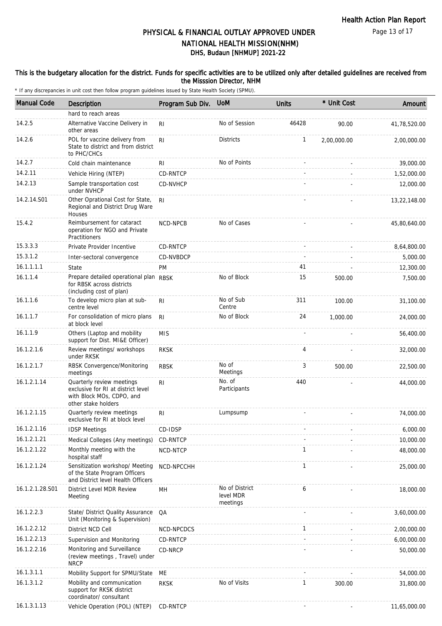#### This is the budgetary allocation for the district. Funds for specific activities are to be utilized only after detailed guidelines are received from the Misssion Director, NHM

| <b>Manual Code</b> | <b>Description</b>                                                                                                  | Program Sub Div. | <b>UoM</b>                              | <b>Units</b>   | * Unit Cost | Amount       |
|--------------------|---------------------------------------------------------------------------------------------------------------------|------------------|-----------------------------------------|----------------|-------------|--------------|
|                    | hard to reach areas                                                                                                 |                  |                                         |                |             |              |
| 14.2.5             | Alternative Vaccine Delivery in<br>other areas                                                                      | R <sub>l</sub>   | No of Session                           | 46428          | 90.00       | 41,78,520.00 |
| 14.2.6             | POL for vaccine delivery from<br>State to district and from district<br>to PHC/CHCs                                 | R <sub>l</sub>   | <b>Districts</b>                        | $\mathbf{1}$   | 2,00,000.00 | 2,00,000.00  |
| 14.2.7             | Cold chain maintenance                                                                                              | RI               | No of Points                            |                |             | 39,000.00    |
| 14.2.11            | Vehicle Hiring (NTEP)                                                                                               | CD-RNTCP         |                                         |                |             | 1,52,000.00  |
| 14.2.13            | Sample transportation cost<br>under NVHCP                                                                           | CD-NVHCP         |                                         |                |             | 12,000.00    |
| 14.2.14.S01        | Other Oprational Cost for State,<br>Regional and District Drug Ware<br>Houses                                       | RI.              |                                         |                |             | 13,22,148.00 |
| 15.4.2             | Reimbursement for cataract<br>operation for NGO and Private<br>Practitioners                                        | NCD-NPCB         | No of Cases                             |                |             | 45,80,640.00 |
| 15.3.3.3           | Private Provider Incentive                                                                                          | CD-RNTCP         |                                         | $\overline{a}$ |             | 8,64,800.00  |
| 15.3.1.2           | Inter-sectoral convergence                                                                                          | CD-NVBDCP        |                                         |                |             | 5,000.00     |
| 16.1.1.1.1         | State                                                                                                               | PM               |                                         | 41             |             | 12,300.00    |
| 16.1.1.4           | Prepare detailed operational plan RBSK<br>for RBSK across districts<br>(including cost of plan)                     |                  | No of Block                             | 15             | 500.00      | 7,500.00     |
| 16.1.1.6           | To develop micro plan at sub-<br>centre level                                                                       | RI.              | No of Sub<br>Centre                     | 311            | 100.00      | 31,100.00    |
| 16.1.1.7           | For consolidation of micro plans<br>at block level                                                                  | RI.              | No of Block                             | 24             | 1,000.00    | 24,000.00    |
| 16.1.1.9           | Others (Laptop and mobility<br>support for Dist. MI&E Officer)                                                      | <b>MIS</b>       |                                         |                |             | 56,400.00    |
| 16.1.2.1.6         | Review meetings/ workshops<br>under RKSK                                                                            | <b>RKSK</b>      |                                         | 4              |             | 32,000.00    |
| 16.1.2.1.7         | RBSK Convergence/Monitoring<br>meetings                                                                             | <b>RBSK</b>      | No of<br>Meetings                       | 3              | 500.00      | 22,500.00    |
| 16.1.2.1.14        | Quarterly review meetings<br>exclusive for RI at district level<br>with Block MOs, CDPO, and<br>other stake holders | R <sub>l</sub>   | No. of<br>Participants                  | 440            |             | 44,000.00    |
| 16.1.2.1.15        | Quarterly review meetings<br>exclusive for RI at block level                                                        | R <sub>l</sub>   | Lumpsump                                |                |             | 74,000.00    |
| 16.1.2.1.16        | <b>IDSP Meetings</b>                                                                                                | CD-IDSP          |                                         |                |             | 6,000.00     |
| 16.1.2.1.21        | Medical Colleges (Any meetings)                                                                                     | CD-RNTCP         |                                         |                |             | 10,000.00    |
| 16.1.2.1.22        | Monthly meeting with the<br>hospital staff                                                                          | NCD-NTCP         |                                         | 1              |             | 48,000.00    |
| 16.1.2.1.24        | Sensitization workshop/ Meeting<br>of the State Program Officers<br>and District level Health Officers              | NCD-NPCCHH       |                                         | 1              |             | 25,000.00    |
| 16.1.2.1.28.S01    | District Level MDR Review<br>Meeting                                                                                | MН               | No of District<br>level MDR<br>meetings | 6              |             | 18,000.00    |
| 16.1.2.2.3         | State/ District Quality Assurance<br>Unit (Monitoring & Supervision)                                                | QA               |                                         |                |             | 3,60,000.00  |
| 16.1.2.2.12        | District NCD Cell                                                                                                   | NCD-NPCDCS       |                                         | $\mathbf{1}$   |             | 2,00,000.00  |
| 16.1.2.2.13        | Supervision and Monitoring                                                                                          | CD-RNTCP         |                                         |                |             | 6,00,000.00  |
| 16.1.2.2.16        | Monitoring and Surveillance<br>(review meetings, Travel) under<br><b>NRCP</b>                                       | CD-NRCP          |                                         |                |             | 50,000.00    |
| 16.1.3.1.1         | Mobility Support for SPMU/State                                                                                     | ME               |                                         |                |             | 54,000.00    |
| 16.1.3.1.2         | Mobility and communication<br>support for RKSK district<br>coordinator/ consultant                                  | <b>RKSK</b>      | No of Visits                            | 1              | 300.00      | 31,800.00    |
| 16.1.3.1.13        | Vehicle Operation (POL) (NTEP)                                                                                      | CD-RNTCP         |                                         |                |             | 11,65,000.00 |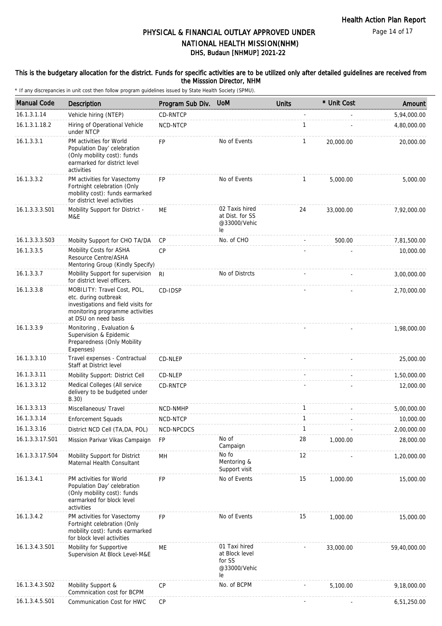Page 14 of 17

# DHS, Budaun [NHMUP] 2021-22 PHYSICAL & FINANCIAL OUTLAY APPROVED UNDER NATIONAL HEALTH MISSION(NHM)

#### This is the budgetary allocation for the district. Funds for specific activities are to be utilized only after detailed guidelines are received from the Misssion Director, NHM

| <b>Manual Code</b> | Description                                                                                                                                           | Program Sub Div. | <b>UoM</b>                                                      | <b>Units</b> | * Unit Cost | Amount       |
|--------------------|-------------------------------------------------------------------------------------------------------------------------------------------------------|------------------|-----------------------------------------------------------------|--------------|-------------|--------------|
| 16.1.3.1.14        | Vehicle hiring (NTEP)                                                                                                                                 | CD-RNTCP         |                                                                 |              |             | 5,94,000.00  |
| 16.1.3.1.18.2      | Hiring of Operational Vehicle<br>under NTCP                                                                                                           | NCD-NTCP         |                                                                 | $\mathbf{1}$ |             | 4,80,000.00  |
| 16.1.3.3.1         | PM activities for World<br>Population Day' celebration<br>(Only mobility cost): funds<br>earmarked for district level<br>activities                   | <b>FP</b>        | No of Events                                                    | $\mathbf{1}$ | 20,000.00   | 20,000.00    |
| 16.1.3.3.2         | PM activities for Vasectomy<br>Fortnight celebration (Only<br>mobility cost): funds earmarked<br>for district level activities                        | <b>FP</b>        | No of Events                                                    | $\mathbf{1}$ | 5,000.00    | 5,000.00     |
| 16.1.3.3.3.S01     | Mobility Support for District -<br>M&E                                                                                                                | МE               | 02 Taxis hired<br>at Dist. for SS<br>@33000/Vehic<br>le         | 24           | 33,000.00   | 7,92,000.00  |
| 16.1.3.3.3.S03     | Mobilty Support for CHO TA/DA                                                                                                                         | <b>CP</b>        | No. of CHO                                                      |              | 500.00      | 7,81,500.00  |
| 16.1.3.3.5         | Mobility Costs for ASHA<br>Resource Centre/ASHA<br>Mentoring Group (Kindly Specify)                                                                   | <b>CP</b>        |                                                                 |              |             | 10,000.00    |
| 16.1.3.3.7         | Mobility Support for supervision<br>for district level officers.                                                                                      | R <sub>l</sub>   | No of Distrcts                                                  |              |             | 3,00,000.00  |
| 16.1.3.3.8         | MOBILITY: Travel Cost, POL,<br>etc. during outbreak<br>investigations and field visits for<br>monitoring programme activities<br>at DSU on need basis | CD-IDSP          |                                                                 |              |             | 2,70,000.00  |
| 16.1.3.3.9         | Monitoring, Evaluation &<br>Supervision & Epidemic<br>Preparedness (Only Mobility<br>Expenses)                                                        |                  |                                                                 |              |             | 1,98,000.00  |
| 16.1.3.3.10        | Travel expenses - Contractual<br>Staff at District level                                                                                              | CD-NLEP          |                                                                 |              |             | 25,000.00    |
| 16.1.3.3.11        | Mobility Support: District Cell                                                                                                                       | CD-NLEP          |                                                                 |              |             | 1,50,000.00  |
| 16.1.3.3.12        | Medical Colleges (All service<br>delivery to be budgeted under<br>B.30)                                                                               | CD-RNTCP         |                                                                 |              |             | 12,000.00    |
| 16.1.3.3.13        | Miscellaneous/ Travel                                                                                                                                 | NCD-NMHP         |                                                                 | 1            |             | 5,00,000.00  |
| 16.1.3.3.14        | <b>Enforcement Squads</b>                                                                                                                             | NCD-NTCP         |                                                                 | $\mathbf{1}$ |             | 10,000.00    |
| 16.1.3.3.16        | District NCD Cell (TA, DA, POL)                                                                                                                       | NCD-NPCDCS       |                                                                 | 1            |             | 2,00,000.00  |
| 16.1.3.3.17.S01    | Mission Parivar Vikas Campaign                                                                                                                        | FP               | No of<br>Campaign                                               | 28           | 1,000.00    | 28,000.00    |
| 16.1.3.3.17.S04    | Mobility Support for District<br>Maternal Health Consultant                                                                                           | MН               | No fo<br>Mentoring &<br>Support visit                           | 12           |             | 1,20,000.00  |
| 16.1.3.4.1         | PM activities for World<br>Population Day' celebration<br>(Only mobility cost): funds<br>earmarked for block level<br>activities                      | <b>FP</b>        | No of Events                                                    | 15           | 1,000.00    | 15,000.00    |
| 16.1.3.4.2         | PM activities for Vasectomy<br>Fortnight celebration (Only<br>mobility cost): funds earmarked<br>for block level activities                           | <b>FP</b>        | No of Events                                                    | 15           | 1,000.00    | 15,000.00    |
| 16.1.3.4.3.S01     | Mobility for Supportive<br>Supervision At Block Level-M&E                                                                                             | ME               | 01 Taxi hired<br>at Block level<br>for SS<br>@33000/Vehic<br>le |              | 33,000.00   | 59,40,000.00 |
| 16.1.3.4.3.S02     | Mobility Support &<br>Commnication cost for BCPM                                                                                                      | CP               | No. of BCPM                                                     |              | 5,100.00    | 9,18,000.00  |
| 16.1.3.4.5.S01     | Communication Cost for HWC                                                                                                                            | CP               |                                                                 |              |             | 6,51,250.00  |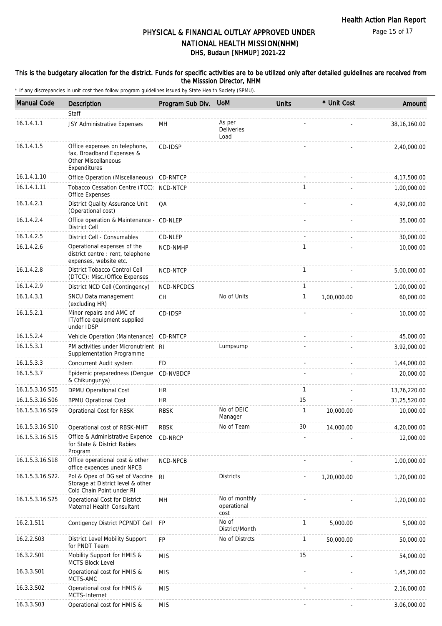Page 15 of 17

## DHS, Budaun [NHMUP] 2021-22 PHYSICAL & FINANCIAL OUTLAY APPROVED UNDER NATIONAL HEALTH MISSION(NHM)

#### This is the budgetary allocation for the district. Funds for specific activities are to be utilized only after detailed guidelines are received from the Misssion Director, NHM

| <b>Manual Code</b> | <b>Description</b>                                                                                | Program Sub Div. | <b>UoM</b>                           | <b>Units</b> | * Unit Cost | Amount         |
|--------------------|---------------------------------------------------------------------------------------------------|------------------|--------------------------------------|--------------|-------------|----------------|
|                    | Staff                                                                                             |                  |                                      |              |             |                |
| 16.1.4.1.1         | JSY Administrative Expenses                                                                       | MН               | As per<br>Deliveries<br>Load         |              |             | 38, 16, 160.00 |
| 16.1.4.1.5         | Office expenses on telephone,<br>fax, Broadband Expenses &<br>Other Miscellaneous<br>Expenditures | CD-IDSP          |                                      |              |             | 2,40,000.00    |
| 16.1.4.1.10        | Office Operation (Miscellaneous) CD-RNTCP                                                         |                  |                                      |              |             | 4, 17, 500.00  |
| 16.1.4.1.11        | Tobacco Cessation Centre (TCC): NCD-NTCP<br>Office Expenses                                       |                  |                                      | 1            |             | 1,00,000.00    |
| 16.1.4.2.1         | District Quality Assurance Unit<br>(Operational cost)                                             | QA               |                                      |              |             | 4,92,000.00    |
| 16.1.4.2.4         | Office operation & Maintenance - CD-NLEP<br><b>District Cell</b>                                  |                  |                                      |              |             | 35,000.00      |
| 16.1.4.2.5         | District Cell - Consumables                                                                       | CD-NLEP          |                                      |              |             | 30,000.00      |
| 16.1.4.2.6         | Operational expenses of the<br>district centre : rent, telephone<br>expenses, website etc.        | NCD-NMHP         |                                      | 1            |             | 10,000.00      |
| 16.1.4.2.8         | District Tobacco Control Cell<br>(DTCC): Misc./Office Expenses                                    | NCD-NTCP         |                                      | $\mathbf{1}$ |             | 5,00,000.00    |
| 16.1.4.2.9         | District NCD Cell (Contingency)                                                                   | NCD-NPCDCS       |                                      | 1            |             | 1,00,000.00    |
| 16.1.4.3.1         | SNCU Data management<br>(excluding HR)                                                            | <b>CH</b>        | No of Units                          | $\mathbf{1}$ | 1,00,000.00 | 60,000.00      |
| 16.1.5.2.1         | Minor repairs and AMC of<br>IT/office equipment supplied<br>under IDSP                            | CD-IDSP          |                                      |              |             | 10,000.00      |
| 16.1.5.2.4         | Vehicle Operation (Maintenance)                                                                   | CD-RNTCP         |                                      |              |             | 45,000.00      |
| 16.1.5.3.1         | PM activities under Micronutrient RI<br>Supplementation Programme                                 |                  | Lumpsump                             |              |             | 3,92,000.00    |
| 16.1.5.3.3         | Concurrent Audit system                                                                           | <b>FD</b>        |                                      |              |             | 1,44,000.00    |
| 16.1.5.3.7         | Epidemic preparedness (Dengue<br>& Chikungunya)                                                   | CD-NVBDCP        |                                      |              |             | 20,000.00      |
| 16.1.5.3.16.S05    | DPMU Operational Cost                                                                             | <b>HR</b>        |                                      | $\mathbf{1}$ |             | 13,76,220.00   |
| 16.1.5.3.16.S06    | <b>BPMU Oprational Cost</b>                                                                       | <b>HR</b>        |                                      | 15           |             | 31,25,520.00   |
| 16.1.5.3.16.S09    | Oprational Cost for RBSK                                                                          | <b>RBSK</b>      | No of DEIC<br>Manager                | $\mathbf{1}$ | 10,000.00   | 10,000.00      |
| 16.1.5.3.16.S10    | Operational cost of RBSK-MHT                                                                      | <b>RBSK</b>      | No of Team                           | 30           | 14,000.00   | 4,20,000.00    |
| 16.1.5.3.16.S15    | Office & Administrative Expence<br>for State & District Rabies<br>Program                         | CD-NRCP          |                                      |              |             | 12,000.00      |
| 16.1.5.3.16.S18    | Office operational cost & other<br>office expences unedr NPCB                                     | NCD-NPCB         |                                      |              |             | 1,00,000.00    |
| 16.1.5.3.16.S22.   | Pol & Opex of DG set of Vaccine<br>Storage at District level & other<br>Cold Chain Point under RI | R <sub>l</sub>   | <b>Districts</b>                     |              | 1,20,000.00 | 1,20,000.00    |
| 16.1.5.3.16.S25    | Operational Cost for District<br>Maternal Health Consultant                                       | MН               | No of monthly<br>operational<br>cost |              |             | 1,20,000.00    |
| 16.2.1.S11         | Contigency District PCPNDT Cell                                                                   | FP               | No of<br>District/Month              | 1            | 5,000.00    | 5,000.00       |
| 16.2.2.S03         | District Level Mobility Support<br>for PNDT Team                                                  | <b>FP</b>        | No of Distrcts                       | 1            | 50,000.00   | 50,000.00      |
| 16.3.2.S01         | Mobility Support for HMIS &<br><b>MCTS Block Level</b>                                            | <b>MIS</b>       |                                      | 15           |             | 54,000.00      |
| 16.3.3.S01         | Operational cost for HMIS &<br>MCTS-AMC                                                           | <b>MIS</b>       |                                      |              |             | 1,45,200.00    |
| 16.3.3.S02         | Operational cost for HMIS &<br>MCTS-Internet                                                      | <b>MIS</b>       |                                      |              |             | 2,16,000.00    |
| 16.3.3.S03         | Operational cost for HMIS &                                                                       | <b>MIS</b>       |                                      |              |             | 3,06,000.00    |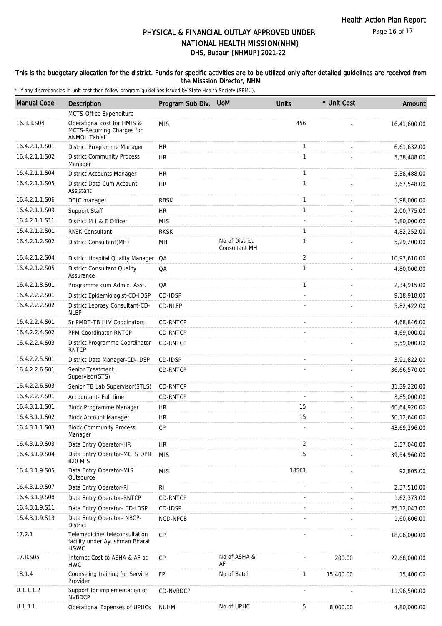Page 16 of 17

# DHS, Budaun [NHMUP] 2021-22 PHYSICAL & FINANCIAL OUTLAY APPROVED UNDER NATIONAL HEALTH MISSION(NHM)

#### This is the budgetary allocation for the district. Funds for specific activities are to be utilized only after detailed guidelines are received from the Misssion Director, NHM

| <b>Manual Code</b> | Description                                                                      | Program Sub Div. | <b>UoM</b>                      | <b>Units</b>   | * Unit Cost | Amount         |
|--------------------|----------------------------------------------------------------------------------|------------------|---------------------------------|----------------|-------------|----------------|
|                    | MCTS-Office Expenditure                                                          |                  |                                 |                |             |                |
| 16.3.3.S04         | Operational cost for HMIS &<br>MCTS-Recurring Charges for<br><b>ANMOL Tablet</b> | <b>MIS</b>       |                                 | 456            |             | 16,41,600.00   |
| 16.4.2.1.1.S01     | District Programme Manager                                                       | <b>HR</b>        |                                 | 1              |             | 6,61,632.00    |
| 16.4.2.1.1.S02     | <b>District Community Process</b><br>Manager                                     | <b>HR</b>        |                                 | 1              |             | 5,38,488.00    |
| 16.4.2.1.1.S04     | <b>District Accounts Manager</b>                                                 | <b>HR</b>        |                                 | $\mathbf{1}$   |             | 5,38,488.00    |
| 16.4.2.1.1.S05     | District Data Cum Account<br>Assistant                                           | <b>HR</b>        |                                 | 1              |             | 3,67,548.00    |
| 16.4.2.1.1.S06     | DEIC manager                                                                     | <b>RBSK</b>      |                                 | 1              |             | 1,98,000.00    |
| 16.4.2.1.1.S09     | Support Staff                                                                    | <b>HR</b>        |                                 | 1              |             | 2,00,775.00    |
| 16.4.2.1.1.S11     | District M I & E Officer                                                         | <b>MIS</b>       |                                 |                |             | 1,80,000.00    |
| 16.4.2.1.2.S01     | <b>RKSK Consultant</b>                                                           | <b>RKSK</b>      |                                 | $\mathbf{1}$   |             | 4,82,252.00    |
| 16.4.2.1.2.S02     | District Consultant (MH)                                                         | MH               | No of District<br>Consultant MH | $\mathbf{1}$   |             | 5,29,200.00    |
| 16.4.2.1.2.S04     | District Hospital Quality Manager QA                                             |                  |                                 | $\overline{2}$ |             | 10.97.610.00   |
| 16.4.2.1.2.S05     | <b>District Consultant Quality</b><br>Assurance                                  | QA               |                                 | $\mathbf{1}$   |             | 4,80,000.00    |
| 16.4.2.1.8.S01     | Programme cum Admin. Asst.                                                       | QA               |                                 | $\mathbf{1}$   |             | 2,34,915.00    |
| 16.4.2.2.2.S01     | District Epidemiologist-CD-IDSP                                                  | CD-IDSP          |                                 |                |             | 9,18,918.00    |
| 16.4.2.2.2.S02     | District Leprosy Consultant-CD-<br><b>NLEP</b>                                   | CD-NLEP          |                                 |                |             | 5,82,422.00    |
| 16.4.2.2.4.S01     | Sr PMDT-TB HIV Coodinators                                                       | CD-RNTCP         |                                 |                |             | 4,68,846.00    |
| 16.4.2.2.4.S02     | PPM Coordinator-RNTCP                                                            | CD-RNTCP         |                                 |                |             | 4,69,000.00    |
| 16.4.2.2.4.S03     | District Programme Coordinator-<br><b>RNTCP</b>                                  | CD-RNTCP         |                                 |                |             | 5,59,000.00    |
| 16.4.2.2.5.S01     | District Data Manager-CD-IDSP                                                    | CD-IDSP          |                                 |                |             | 3,91,822.00    |
| 16.4.2.2.6.S01     | Senior Treatment<br>Supervisor(STS)                                              | <b>CD-RNTCP</b>  |                                 |                |             | 36,66,570.00   |
| 16.4.2.2.6.S03     | Senior TB Lab Supervisor (STLS)                                                  | CD-RNTCP         |                                 |                |             | 31,39,220.00   |
| 16.4.2.2.7.S01     | Accountant- Full time                                                            | <b>CD-RNTCP</b>  |                                 |                |             | 3,85,000.00    |
| 16.4.3.1.1.S01     | Block Programme Manager                                                          | <b>HR</b>        |                                 | 15             |             | 60,64,920.00   |
| 16.4.3.1.1.S02     | <b>Block Account Manager</b>                                                     | <b>HR</b>        |                                 | 15             |             | 50,12,640.00   |
| 16.4.3.1.1.S03     | <b>Block Community Process</b><br>Manager                                        | CP               |                                 |                |             | 43,69,296.00   |
| 16.4.3.1.9.S03     | Data Entry Operator-HR                                                           | <b>HR</b>        |                                 | 2              |             | 5,57,040.00    |
| 16.4.3.1.9.S04     | Data Entry Operator-MCTS OPR<br>820 MIS                                          | <b>MIS</b>       |                                 | 15             |             | 39,54,960.00   |
| 16.4.3.1.9.S05     | Data Entry Operator-MIS<br>Outsource                                             | <b>MIS</b>       |                                 | 18561          |             | 92,805.00      |
| 16.4.3.1.9.S07     | Data Entry Operator-RI                                                           | R <sub>l</sub>   |                                 |                |             | 2,37,510.00    |
| 16.4.3.1.9.S08     | Data Entry Operator-RNTCP                                                        | CD-RNTCP         |                                 |                |             | 1,62,373.00    |
| 16.4.3.1.9.S11     | Data Entry Operator- CD-IDSP                                                     | CD-IDSP          |                                 |                |             | 25, 12, 043.00 |
| 16.4.3.1.9.S13     | Data Entry Operator- NBCP-<br><b>District</b>                                    | NCD-NPCB         |                                 |                |             | 1,60,606.00    |
| 17.2.1             | Telemedicine/ teleconsultation<br>facility under Ayushman Bharat<br>H&WC         | CP               |                                 |                |             | 18,06,000.00   |
| 17.8.S05           | Internet Cost to ASHA & AF at<br><b>HWC</b>                                      | <b>CP</b>        | No of ASHA &<br>AF              |                | 200.00      | 22,68,000.00   |
| 18.1.4             | Counseling training for Service<br>Provider                                      | FP               | No of Batch                     | $\mathbf{1}$   | 15,400.00   | 15,400.00      |
| U.1.1.1.2          | Support for implementation of<br><b>NVBDCP</b>                                   | CD-NVBDCP        |                                 |                |             | 11,96,500.00   |
| U.1.3.1            | Operational Expenses of UPHCs                                                    | <b>NUHM</b>      | No of UPHC                      | 5              | 8,000.00    | 4,80,000.00    |